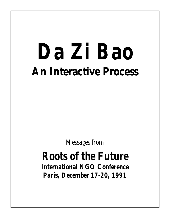# *Da Zi Bao* **An Interactive Process**

*Messages from*

# *Roots of the Future International NGO Conference*

*Paris, December 17-20, 1991*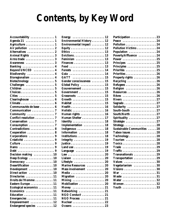# **Contents, by Key Word**

| $\bf{Accountability}\,\dots\dots\dots\dots\dots\,1$ |
|-----------------------------------------------------|
| Agenda 21  1                                        |
| Agriculture  1                                      |
| Air pollution  2                                    |
| Alternatives  2                                     |
| Animal Rights  3                                    |
| Arms trade  3                                       |
| Awareness  3                                        |
| Banking  4                                          |
| Beyond UNCED  4                                     |
| Biodiversity  4                                     |
| Bioregionalism  4                                   |
| Biotechnology  5                                    |
| Challenges  5                                       |
| Children  5                                         |
|                                                     |
|                                                     |
| Clearinghouse  6                                    |
| <b>Climate  6</b>                                   |
| Communautés de base  6                              |
| Communication  7                                    |
| Community 7                                         |
| Conflict resolution  7                              |
| Conservation  7                                     |
| Consumption 7                                       |
| Contradictions  8                                   |
| Cooperation  8                                      |
| Corporations  9                                     |
| Créativité  9                                       |
| Culture  9                                          |
|                                                     |
| Debt 9                                              |
| Decision making  10                                 |
| Deep Ecology  10                                    |
| 10<br>Democracy                                     |
| Desertification  10                                 |
| Development  10                                     |
| Direct action<br>10                                 |
| .<br><b>Directories</b><br>11                       |
| Droits de l'Homme<br>11                             |
| Eastern Europe<br>11                                |
| Ecological economics<br>11                          |
| <b>Economics</b><br>.<br>11                         |
| Education<br>11                                     |
| Emergencies<br>11                                   |
| Empowerment  12                                     |
| Endangered species  12                              |

| Energy $\ldots \ldots \ldots \ldots \ldots \ldots$         |  |  |  | 12 |
|------------------------------------------------------------|--|--|--|----|
| <b>Environmental History 12</b>                            |  |  |  |    |
| <b>Environmental Impact</b> 12                             |  |  |  |    |
|                                                            |  |  |  |    |
| Equity $\dots\dots\dots\dots\dots\dots\dots\ 12$           |  |  |  | 13 |
| <b>Ethics</b>                                              |  |  |  |    |
|                                                            |  |  |  | 13 |
| <b>Feminism  13</b>                                        |  |  |  |    |
| Finances $\dots\dots\dots\dots\dots\dots\dots$             |  |  |  |    |
| Food  13                                                   |  |  |  |    |
| Forests $\ldots \ldots \ldots \ldots \ldots \ldots$        |  |  |  | 14 |
|                                                            |  |  |  | 14 |
| GATT $\ldots \ldots \ldots \ldots \ldots \ldots \ldots 15$ |  |  |  |    |
| Gender consciousness  15                                   |  |  |  |    |
| Global Policy  15                                          |  |  |  |    |
| Gouvernement                                               |  |  |  | 15 |
| Government                                                 |  |  |  | 15 |
| Grassroots  15                                             |  |  |  |    |
| Growth  15                                                 |  |  |  |    |
| Habitat  15                                                |  |  |  |    |
|                                                            |  |  |  | 16 |
| Holistic                                                   |  |  |  | 16 |
| Human rights                                               |  |  |  | 16 |
| Human Shelter                                              |  |  |  | 17 |
| Identity                                                   |  |  |  | 18 |
| Implementation                                             |  |  |  | 18 |
| Indigenous                                                 |  |  |  | 18 |
| Information  18                                            |  |  |  |    |
| Institutions 18                                            |  |  |  |    |
| Integrity                                                  |  |  |  | 19 |
|                                                            |  |  |  | 19 |
| Land use                                                   |  |  |  | 19 |
| Language                                                   |  |  |  | 19 |
|                                                            |  |  |  | 20 |
|                                                            |  |  |  |    |
| Liaison  20                                                |  |  |  |    |
| Lifestyle  20<br><b>Marine Resources  20</b>               |  |  |  |    |
|                                                            |  |  |  |    |
| Mass involvement  20                                       |  |  |  |    |
| Media  20                                                  |  |  |  |    |
| Migration  20                                              |  |  |  |    |
| Mining $\,\ldots\ldots\ldots\ldots\ldots\ldots\,20$        |  |  |  |    |
| Mobilization  20                                           |  |  |  |    |
| Money $\,\ldots\ldots\ldots\ldots\ldots\ldots\,21$         |  |  |  |    |
| Networking 21                                              |  |  |  |    |
| NGO Conduct 21                                             |  |  |  |    |
| $NGO$ Process $\ldots \ldots \ldots \ldots \ldots 21$      |  |  |  |    |
|                                                            |  |  |  |    |
| Oceans  23                                                 |  |  |  |    |

| Participation 23                                                          |  |  |  |
|---------------------------------------------------------------------------|--|--|--|
| Peace 24                                                                  |  |  |  |
| Pollution $\ldots \ldots \ldots \ldots \ldots 24$                         |  |  |  |
| Pollution Victims 24                                                      |  |  |  |
| Population  24                                                            |  |  |  |
| Poverty/Affluence  24                                                     |  |  |  |
| Power $\dots\dots\dots\dots\dots\dots\dots\ 25$                           |  |  |  |
| Principes $\ldots \ldots \ldots \ldots \ldots 25$                         |  |  |  |
| Principles $\ldots \ldots \ldots \ldots \ldots 25$                        |  |  |  |
| Priorités  25                                                             |  |  |  |
|                                                                           |  |  |  |
| Property rights $\ldots \ldots \ldots \ldots 26$                          |  |  |  |
| Recycling $\ldots \ldots \ldots \ldots \ldots 26$                         |  |  |  |
|                                                                           |  |  |  |
| <b>Religion  26</b>                                                       |  |  |  |
| <b>Resources 26</b>                                                       |  |  |  |
| <b>Rêves</b> 26                                                           |  |  |  |
| <b>Rivers</b> 27                                                          |  |  |  |
|                                                                           |  |  |  |
| Solidarity  27                                                            |  |  |  |
| South-South  27                                                           |  |  |  |
| South/North  27                                                           |  |  |  |
| <b>Spirituality</b> 27                                                    |  |  |  |
| Stratégie  27                                                             |  |  |  |
| Strategy $\ldots \ldots \ldots \ldots \ldots \ldots 28$                   |  |  |  |
| <b>Sustainable Communities  28</b>                                        |  |  |  |
| Taboo issues 28                                                           |  |  |  |
| $Technology \ldots \ldots \ldots \ldots \ldots 28$                        |  |  |  |
| Tourism $\ldots \ldots \ldots \ldots \ldots 28$                           |  |  |  |
|                                                                           |  |  |  |
| Trade  29                                                                 |  |  |  |
| $\text{Traffic}\ldots\ldots\ldots\ldots\ldots\ldots\ldots\ldots\text{29}$ |  |  |  |
| Transnationals  29                                                        |  |  |  |
| Transportation  29                                                        |  |  |  |
| Values 30                                                                 |  |  |  |
| Vegetarianism 30                                                          |  |  |  |
| <b>Visions</b> 30                                                         |  |  |  |
|                                                                           |  |  |  |
| Waste  31                                                                 |  |  |  |
| Water  32                                                                 |  |  |  |
|                                                                           |  |  |  |
| <b>Youth  33</b>                                                          |  |  |  |
|                                                                           |  |  |  |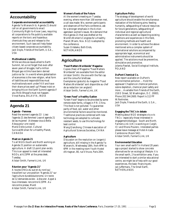# **Accountability**

### **Corporate environmental accountability**

Agenda Ya Wananchi & Agenda 21 should call on all governments to enact Community Right-to-Know Laws, requiring all corporations to file publicly available reports on the toxic and hazardous chemicals they use and release to the environment. Such laws will help foster citizen-based corporate accountability. Jack Doyle, Friends of the Earth, U.S.A., USA

### **Multinational Liability**

While we discuss issues allied to Earth Summit, let us not forget that even after seven years of struggle, half a million Bhopal gas victims have benn denied justice so far. In a world where globalisation of ecenomies is the new religion, what form of liabilities and responsibilities must multinationals work under? Kill and have their share prices swell up? Please insist on bringing this on the Earth Summit agenda if you think Bhopal's must not happen. Vinod Raina, EKLAVYA, INDIA

# **Agenda 21**

### **Agenda - Femmes**

Read the women's agenda 21! Lisez l'agenda 21 des femmes! Leye el agenda 21 de las mujeres! (Adressez-vous à Bella Abzug pour une copie) Marie-Odile Junker, Cultural Survival/Woman for a Healthy Planet, CANADA

### **Meet on Agenda 21**

To all NGOs South and North working on Agenda 21 position on sustainable agriculture. A draft 12-point plan exists. This is an appeal to meet all interested NGOs, at 6.15PM at the press desk, Tuesday. Alistair Smith, Farmer's Link, UK

### **Réunion pour "Agenda 21"**

A toutes ONGs du sud et du nord qui travaillent sur une position "Agenda 21" sur l'agriculture durable/autonome. Un texte de 12 demandes existe - à discuter. Appel à tous interesses: rencontre 6.15PM. Au rencontre presse, Mardi Alistair Smith, Farmer's Link, UK

### **Women's Roots of the Future**

At the women's meeting on Tuesday evening, where more than 100 women met, a call was made: We, women participants and observers of the Paris conference, ask for a stronger emphasis in the Action agendaon women's issues. We demand that the Agenda 21 that was drafted at the World's Women's Congress for a Healthy Planet (Miami, Nov. 8-12) is adopted by the conference. Suzan Orlebeke, Both Ends, NETHERLANDS

# **Agriculture**

### **"Food Matters Worldwide" Magazine**

Copies (free) of Magazine "Food Matters Worldwide" are available from the editor (Alistair Smith): the one with the flat cap and the colourful briefcase. Exemplaires (gratuits) du magazine "Food Matters Worldwide" sont disponible au chef de sa redaction (en anglais!) Alistair Smith, Farmer's Link, UK

### **"Green Food" a Healthy Option**

"Green Food" begins to be provided by some remote state farms, villages in P.R. China. This food is not polluted. To guarantee parity of food, soil, water and other environmental factors would be monitored. Traditional practices combined with new technology are adopted to cultivate resistant seeds, to use this technology for best control.

Wang Qianzhong, Chinese Association of Agricultural Sciences Societies, CHINA

### **Agriculture**

Discussion on the resolution on (organic) agriculture, still missing in the Agenda Ya Wananchi, Wednesday 18th, from 4PM to 6PM in the meeting room Youth Hostel d'Artagnan, 80, rue Vitruve, Paris 20th.

### **Agriculture Policy**

The strategy of development of world agriculture should enable the simultaneous realization of the following aims: feeding humanity, safeguarding of natural resources for future generations, safeguarding of individual and regional agricultural characteristics as well as respecting existing traditions and experiences in this field, promoting methods and health and environment. In order to achieve the above mentioned aims a complex system of international solutions accompanied by appropriate legal, economical and administrative instruments should be applied. The solutions must be preventive, stimulative and promotive. Jolanta Pawlak, Social Ecological Institute, POLAND

### **DuPont Chemical Co.**

New report available on DuPont's environmental pollution ... Hold the applause! Chapters on chemical pollution, ozone depletion, chemical plant safety and more ... Available from Friends of the Earth, 218 D Street, SE Washington, D.C. 20003, Phone 202.544.2600. Report is 112 PP W/footnotes. Jack Doyle, Friends of the Earth, U.S.A., USA

### **Engaging the TNC's in debate**

Meeting about NGO strategies vis a vis TNCs - especially those interested in engagement/dialogue - South and North. Farmers Link (UK) is working on Cargill, ICI and Rhone Poulenc. Interested parties please leave message at Hotel Arcade Cambronne (Room 542). Alistair Smith, Farmer's Link, UK

### **Environmental Education**

Your own small earth? In Holland 20 years ago a project started to show concrete alternatives for an ecological lifestyle: it is the small earth, 2 ha exhibition area. if you are interested to start a similar educational centre, we might be of help with our good experiences, the basic financing etc. Jan Juffermans, The Small Earth, NETHERLANDS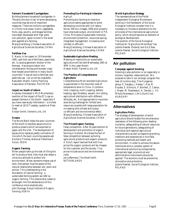### **Farmers' Household Courtgardens**

Building farmers household courtgarden in "Poverty Stricken Area" of some developing countries may be one of important measures. There are millions courtgardens in China's rural areas. Grains, vegetables, fruits, pigs, poultry, and biogas facilities have been developed with high yield, non-pollution, good income in the small plot applied eco-farming. Wang Qianzhong, Chinese Association of Agricultural Sciences Societies, CHINA

### **Fertilizer Use**

E. Navia, in her paper on 19 December 1991, said that use of fertilizers, pesticides, etc. is causing generatic erosion of the biomass. Has anyone taken into consideration the big and bumper crops that helped avoid famine in many South countries? It was all due to fertilizer and pesticide use. Let us not be ungrateful. Raziuddin Shaikh, Family Planning Association of Pakistan, PAKISTAN

### **Impact on South of reform**

Anybody interested in Ms S Muntemba's mention of the impact of the EC's cap on peasant farmers in the South - especially if you have case study information - is invited to meet at 18:15 Tuesday, upstairs at Press Desk.

Alistair Smith, Farmer's Link, UK

### **Oceans**

The World Bank helps the poor countries of the South to develop aquaculture to produce prawns which are exported to Japan and the USA. The development of aquaculture replaces paddy cultivation of rice which the poor countries peoples eat. Kocherry Thomas, National Fisherman's Forum, INDIA

### **Organic Farming**

When people take up the task of tilling the soil to produce food, they must also adopt a conscious attitude to protect the environment. When someone makes use of land, that person must be aware of the natural relationship between soil, plant and animal. This understanding is the foundation of natural farming - a sustainable farming system we refer as organic farming. This relationship needs to be bought into the deliberations of this conference more emphatically. John Njoroge, Kenya Institute of Organic Farming, KENYA

### **Promoting Eco-Farming to Intensive** Agricult.

Promoting eco-farming to intensive agriculture seems appropriate to some developing countries with rich labour forces. 500 eco-villages, 2000 pilot projects have improved output, environment in P.R. China. Principles of sustainable intensive; environment protection, recources-saving; integrated management, increasing land utilized-co-efficient.

Wang Qianzhong, Chinese Association of Agricultural Sciences Societies, CHINA

### **Sustainable Agriculture Meeting**

Meeting on resolutions on sustainable agriculture will be held Wednesday 18th at 4PM in the Laser Room! Alistair Smith, Farmer's Link, UK

### **The Practice of Comprehensive Agriculture**

Comprehensive Multi-storeied Agriculture is popularized in the mountain area of temperature zone in China. It contains inter-cropping, multi-cropping, battery keeping, agro-forestery, aquatic mix raising, agriculturel distribution with different altitudes, etc. And appropriate to mountain area facing challenge for limited land resources coupled with large population for increasing land utilized and output co-efficient and environmental effect. Wang Qianzhong, Chinese Association of Agricultural Sciences Societies, CHINA

### **The Prices/Organic Farming**

False competition. After 20 years bottom of development and promotion of organic farming in Holland. We stress the fact of false competition between polluting agricultural products and organic products. A Dutch report learned that with true prices the organic products will be cheaper for the customer and the society. True prices include social and environmental costs.

Jan Juffermans, The Small Earth, NETHERLANDS

### **World Agriculture Strategy**

The representatives of the Polish Independent Ecological Movements working in the framework of the Social Ecological Institute consider that it is necessary to introduce alterations to the principles of the international agricultural policy, which should become an element of ecological development.

The position of the Social Ecological Institute for "Agriculture Workshop" has Jolanta Pawlak (Poland) and Da Zi Bao. Jolanta Pawlak, Social Ecological Institute, POLAND

# **Air pollution**

### **Campaign against Smoking**

Smoking is also pollution or air especially in schools, hospitals, restaurants etc. We propose to take in our ecologic program the task of nicotine stop. The Hungarian group: E. Gergely, J. Halasz, I. Kiss, M. Koudes, E. Schmuck, P. Bonifert, Z. Csokar, J. Mayer, M. Nesmessuri, A. Sandor, L. Vit Miha'ly Nemessuri, Life Culture Club, HUNGARY

# **Alternatives**

### **Agriculture Policy**

The strategy of development of world agriculture should enable the simultaneous realization of the following aims: feeding humanity, safeguarding of natural resources for future generations, safeguarding of individual and regional agricultural characteristics as well as respecting existing traditions and experiences in this field, promoting methods and health and environment. In order to achieve the above mentioned aims a complex system of international solutions accompanied by appropriate legal, economical and administrative instruments should be applied. The solutions must be preventive, stimulative and promotive. Jolanta Pawlak, Social Ecological Institute, POLAND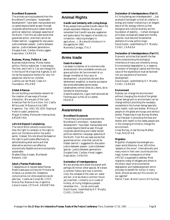### **Brundtland Buzzwords**

The primary surving buzzwords from the Brundtland Commission, "sustainable development", have been manipulated and co-opted beyond belief as seen through corporate advertising and rubber boned political reelection campaign speeches of the North. From Rio we need words that guarantee action, ones that cannot be hidden behind. I suggested for discussion: Justice between people - Justice between species - Justice between generations Douglas Gook, Caribou Horse Loggers Association, CANADA

### **Business, Money, Politics & Law**

Business makes money. Money makes politics. Politics makes law. It was always like that, and it still is. Can we change this in the future? We hope that Agenda 21 will not be the expensive memory for very rich people but also for our children. Ludmila van der Marel, Clean Air Foundation, POLAND

### **Global Alliances**

We are building a worldwide network for the creation of new ways of human interaction. We are part of the Latin American Pact for Eco-Action. Ad: Casilla 60-Sucursal 14-Buenos Aires 1405 Argentina. Fax: (541) 331 1033. Staying at Hotel Arcade Cambronne. Miguel Grinberg, Promundo Internacional, ARGENTINA

### **Let's Get Beyond Complaining**

The role of NGOs should involve more than the right to complain or the right to point out limitations within the public sector. Instead, this role should be based on the right to participate effectively by demonstrating what works and that alternative solutions are effective, economically feasible and environmentally sustainable.

Waafas Ofosu-Amaah, Worldwide Network, USA

### **Salud y Plantas Medicinales**

Trabajamos en el rescate delas Plantas Medicinales para la Atención Primaria de la Salud y su protección. Deseamos comunicarnos con otros experiencias de este tipo. Cosilla de Correo 80, (1727) Marcos Paz, Buenos Aires, Argentina Carlos Vicente, CETAAR, ARGENTINA

# **Animal Rights**

### **Gandhi and Solidarity with Living Beings**

Many people here quoted Gandhi about the simple-equitable lifestyles. We should remember that Gandhi was also vegetarian and spoke about the respect of animals (no vivisection, reducing drudgery in agriculture ...). We should introduce it in the agenda for 1992. Marinella Corregia, ITALY

# **Arms trade**

### **Essais Nucléaires**

Les essais nucléaires, et le commerce des armes doivent être considérés comme une grave pollution de l'environment et un danger immédiat et futur pour le development. Les premiers doivent être sévérement empêché, la revente successive des armes démodées perme tardes catastrophes comme celles du Liberia, de la Somalie et d'autres pays. Gisele Noublanche, Ligue Internationale de Femmes pour la Paix et la Liberté, FRANCE

### **Awareness**

### **Brundtland Buzzwords**

The primary surving buzzwords from the Brundtland Commission, "sustainable development", have been manipulated and co-opted beyond belief as seen through corporate advertising and rubber boned political reelection campaign speeches of the North. From Rio we need words that guarantee action, ones that cannot be hidden behind. I suggested for discussion: Justice between people - Justice between species - Justice between generations Douglas Gook, Caribou Horse Loggers Association, CANADA

### **Declaration of Interdependence**

We are animals who share the planet with perhaps 30 million other species. We share a common history and now a common crisis, the collapse of the clean air, water and soil. And we share a common future yet unwritten. Linked to us in a web of kinship, all living indigenous people remember this ... (to be continued) David Suzuki, (submitted by D.F. Murphy CUSO), CANADA

### **Declaration of Interdependence (Part II)**

All living beings are interdependent ... Just as physics has taught us that all creation is energy and matter interacting in an elegant dance of life, biology informs us that biological and cultural diversity are the foundation of stability ... Certain biological principles, ecologically based and morally inspired, must become fundamental elements of a new politics hope. David Suzuki, (submitted by D.F. Murphy CUSO), CANADA

### **Declaration of Interdependence (Part III)**

Economic activities that benefit the few while compromising the biological inheritance of many are inherently wrong. Environmental degradation is, in essence, an erosion of biological capital and the long value of the expenditure must be factored into any equations of economic development.

David Suzuki, (submitted by D.F. Murphy CUSO), CANADA

### **Environment**

Nobody can change the environment without changing the minds of the global human beings and no environment can be change without providing the necessary necessities to the human beings specially food, health, cloth and shelter. Millions of people on the globe are hungry and without shelter. Please help Ansar Burney Welfare Trust Pakistan in providing the food and shelter with health to the needy people and in the changing of minds to change the environment.

Ansar Burney, Ansar Burney Welfare Trust, PAKISTAN

### **Migration**

Migration of peoples has emerged as a major world dilemma. Over 100 million "people on the move". Internationally and many more in their own countries are the tragic human consequence of what UNCED is supposed to address. Most migration today of refugees and others in the direct result of environmental degradation and maldevelopment which provides no benefit for million in many lands. Should we also put this concern on our agenda?

Patrick Taran, World Council of Churches,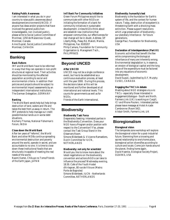### **Raising Public Awareness**

I am interested in what you do in your country to raise public awareness about development/environment/UNCED. If anyone has ideas and/or projects that have involved the general public/nonknowledgeable, non involved public), please write to Social Justice Committee of Montreal, 1250 de Maisonneur Quest, Montreal, Canada

Anne Duprat, Social Justice Committee of Montreal, CANADA

# **Banking**

### **Bank Reform**

IMF and World Bank have to be reformed in a way that they can operate in non-profit structures at regional level. Their activities should be monitored by the affected population according to social and environmental criteria. In addition their policies and projects should be subject to environmental impact assessments by an independent international institutions. The German Delegation, GERMANY

### **Banking**

The World Bank sends help but help brings destruction of land, waters and life and takes the best from us away in return. The IMF pretends to help manage our credit possibilities but lands us in worse debt situations.

Kocherry Thomas, National Fisherman's Forum, INDIA

### **Close down the World Bank**

After ten years of "reforms", the World Bank and other MDBs continue spreading environmental destruction and poverty around the world, operate in secret, and are accountable to no one. It is time to close down these institutional fossils that are structurally incapable of meeting the real needs of the world.

Naomi Kamei, Chikuyo no Tomo/Friends of the Earth Japan, JAPAN

### **Int'l Bank For Community Initiatives**

Green Forum Philippines would like to communicate with other NGOs on initiating the formation of a bank for community initiatives in sustainable development. Unless NGOs think about and establish new institutions that empower communities, our effectiveness for real change will be in doubt. Address: 3/F Liberty Bldg., Pasay Rd. Makoti, Manila, Philippines, Fax: 8183207 Philip Camara, Foundation for Community Organisation & Managment Tech., PHILIPPINES

# **Beyond UNCED**

### **After UNCED**

UNCED may not be a single conference event, but has to be established as a continuous evaluation process, at least until the year 2000. During this process, the decisions taken at Rio will be monitored and further developed at all international and national levels. This counts for governments as well as for NGOs.

Friends of the Earth International,

# **Biodiversity**

### **Biodiversity Task Force**

Desperately Seeking: Interested parties in the Biodiversity Convention. Does your NGO have a Program and/or position with respect to the Convention? If so, please contact the Task Group Stand in the Observers Room. Simone Bilderbeek & Vivianne Ramaekers, Dutch Committee for IUCN, NETHERLANDS

### **Biodiversity: not only for scientists!**

Would you like to know more about the latest negotiations on the biodiversity convention and actions NGOs can take to influence the process? Wednesday evening, 18:30. Cafe of the Youth Hostel d'Artagnan, 80 rue de Vitruve (Metro: Porte de Bagnoles) Simone Bilderbeek, IUCN - Netherlands Committee, NETHERLANDS

### **Biodiversity: humanity's test**

Biodiversity is the foundation for Earth's system of life, and the context for human nature. Today, destruction of ecosystem's is threatening Earth with a shocking mass extinction. Please support resolutions which urge preservation of biodiversity our planetary inheritance - for future generations.

George Paul, Foundation for Biodiversity, USA

### **Declaration of Interdependence (Part III)**

Economic activities that benefit the few while compromising the biological inheritance of many are inherently wrong. Environmental degradation is, in essence, an erosion of biological capital and the long value of the expenditure must be factored into any equations of economic development. David Suzuki, (submitted by D.F. Murphy

CUSO), CANADA

### **Engaging the TNC's in debate**

Meeting about NGO strategies vis a vis TNCs - especially those interested in engagement/dialogue - South and North. Farmers Link (UK) is working on Cargill, ICI and Rhone Poulenc. Interested parties please leave message at Hotel Arcade Cambronne (Room 542). Alistair Smith, Farmer's Link, UK

# **Bioregionalism**

### **Bioregional vision**

The temperate zone workshop will explore the bioregional vision for a post-industrial future. Stemming from a knowing and sacred relationship to one's home place, bioregional action diversifies according to culture and locale. Come join hands around the planet, finding home again. David Haenke, Ecological Society Project, OZARKS, USA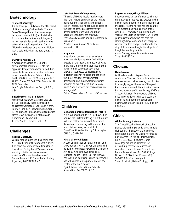# **Biotechnology**

### **"Biotechknowledgy"**

Think strategic ... Advocate the other kind of "Biotechnology" --Low-tech, "Common Sense" Biology that utilizes knowledge, labor, and human skills (i.e. Sustainable Agriculture, Preventive Medicine, etc.) rather than single-gene fixes that can be patented and sold as products. Call it "Biotechknowledgy" or grass-roots biology. Jack Doyle, Friends of the Earth, U.S.A., USA

### **DuPont Chemical Co.**

New report available on DuPont's environmental pollution ... Hold the applause! Chapters on chemical pollution, ozone depletion, chemical plant safety and more ... Available from Friends of the Earth, 218 D Street, SE Washington, D.C. 20003, Phone 202.544.2600. Report is 112 PP W/footnotes.

Jack Doyle, Friends of the Earth, U.S.A., USA

### **Engaging the TNC's in debate**

Meeting about NGO strategies vis a vis TNCs - especially those interested in engagement/dialogue - South and North. Farmers Link (UK) is working on Cargill, ICI and Rhone Poulenc. Interested parties please leave message at Hotel Arcade Cambronne (Room 542). Alistair Smith, Farmer's Link, UK

# **Challenges**

### **Fooling Ourselves?**

We are fooling ourselves if we think that NGOs will change the dominant culture. The powers at work are too strong for us, tiny, elitist, "enlightened"" organizations working outside the mainstream of societies. Where is the alternative? Delmar Blasco, Int'l Council of Voluntary Agencies, SWITZERLAND

### **Let's Get Beyond Complaining**

The role of NGOs should involve more than the right to complain or the right to point out limitations within the public sector. Instead, this role should be based on the right to participate effectively by demonstrating what works and that alternative solutions are effective, economically feasible and environmentally sustainable.

Waafas Ofosu-Amaah, Worldwide Network, USA

### **Migration**

Migration of peoples has emerged as a major world dilemma. Over 100 million "people on the move". Internationally and many more in their own countries are the tragic human consequence of what UNCED is supposed to address. Most migration today of refugees and others in the direct result of environmental degradation and maldevelopment which provides no benefit for million in many lands. Should we also put this concern on our agenda?

Patrick Taran, World Council of Churches,

# **Children**

### **Declaration of Interdependence (Part IV)**

We also know that Life is all we have. The Song of the Earth's suffering is a last minute wake-up callfor our survival. Our future depends on our waking to this alarm. For our children's sake, we must do it. David Suzuki, (submitted by D.F. Murphy CUSO), CANADA

### **First Call For Children**

A special workshop on "Environment and Development: First Call For Children" will be held on Wednesday December 18 from 9 AM to 11 AM at the Auberge de la Jeunesse (Youth Hostel) 80, rue Vitruve, Paris 20. The workshop is open to everyone and will endeavour to put children in the center of the E&D debate. Cyril Ritchie, International Schools Association, SWITZERLAND

### **Rape of Women/Girls/Children**

I have come to this conference as a human right atcivist. I received 131 awards in the field of human rights from different parts of the globe. Recently I received the award of "Top outstanding young person of the world 1991" from Helsinki, Finland and "Man of the Earth 1991" from USA. I need your suggestions how we can stop the alarming/ dangerous conditions of rape of women, children and girls and how to the stop child abuse and neglect in all parts of the globe, specially in Asia. Ansar Burney, Ansar Burney Welfare Trust, PAKISTAN

# **Choices**

### **Nobel Award**

With reference to this great Paris conference "Roots of Future" I came here as an observer and before leaving I would like to strongly suggest the name of the great Pakistanian human rights activist Mr Ansar Burney, advocate of Ansar Burney Welfare Trust of Pakistan, for the award of Nobel Prize in recognition to his services in the field of human rights and social work. Saghir Asghar Safir, Islamic PAIC Society, FRANCE

# **Cities**

### **Global Ecology Network**

The Global Ecocity Network of ecocity pioneers is working to build a sustainable civilisation. The network is planning a presentation at the '92 Global Forum and Earth Summit in Rio de Janeiro, Brazil, June 1-12, 1992. The Cerro Gordo ecovillage maintains databases for networking, referrals, resources and education. Contact Cerro Gordo Town Forum, Dorena Lake, Box 569, Cottage Grove, Or 97424 USA. Phone (503) 942-7720, EcoNet: cerrogordo Stuart Chaitkin, Urban Ecology, USA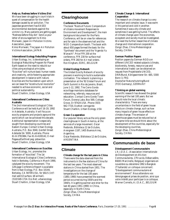### **Help us. Redress before Victims Die!**

We have been struggling in court trials in quest of compensation for the health damage caused by air pollution. The Japanese government has EASED environmental standards against the victims' cry. Many patients are getting aged. "Redness before they die". Send us your letter of encouragement to Kimio Moriwaki, Japan Air Pollution Victims Association, Japan. Kimio Moriwaki, The Japan Air Pollution Victims Association, JAPAN

**International Ecology Rebuilding Program**

Urban Ecology, Inc. is developing an Ecological Rebuilding Program for Planet Earth based on the need to rebuild our cities using ecological principles. "Ecocities" will nurture basic human needs and creativity, while fostering appropriate development in balance with nature. Ecocities are the foundation upon which we can base the "ecostructural revolution" needed to achieve economic, social and political sustainability.

Stuart Chaitkin, Urban Ecology, USA

### **International Conference on Cities: Australia**

The 2nd International Ecological Cities Conference will be held April 16-19, 1992 in Adelaide, Australia. It will focus on ecocity programs and projects aground the world which can be achieved this decade. Additional representation is especially sought from developing countries and Eastern Europe. Contact Urban Ecology Australia, P.O. Box 3040, Genfell Street Adelaide SA 5000, Australia. Phone 61-8-3791984, Fax 61-8-4100142, E-mail Pegasus/Earthnet peg: pdownton Stuart Chaitkin, Urban Ecology, USA

### **International Conference on Ecocities**

Urban Ecology, Inc. promotes the formation of "ecocities". The 1st International Ecological Cities Conference, held in Berkeley, California in March 1990, catalyzed the ecocity movement. The 128-page Conference Report is available from Urban Ecology, P.O. Box 10144, Berkeley, CA 94709 USA, for \$6US (int'l mail add \$3 surface, \$8 airmail). (510)549-1724. Eco Net: urbanecology Stuart Chaitkin, Urban Ecology, USA

# **Clearinghouse**

### **Conference Documents**

The book "Roots of Future: Compendium of citizens movement Responses to Environment and Development", the main background document for the Paris Conference, will be on view for references and for sale in the observers hall and the NGO Compendium booth. The book with about 650 pages formed the basic for the "Synthesis" document and the "Agenda Ya Wanachi". Price FFR 200 at the conference, FFR 230 for surface mail orders, FFR 260 for Air mail orders. Ron Kingham, EDRC, BELGIUM

### **Global Ecology Network**

The Global Ecocity Network of ecocity pioneers is working to build a sustainable civilisation. The network is planning a presentation at the '92 Global Forum and Earth Summit in Rio de Janeiro, Brazil, June 1-12, 1992. The Cerro Gordo ecovillage maintains databases for networking, referrals, resources and education. Contact Cerro Gordo Town Forum, Dorena Lake, Box 569, Cottage Grove, Or 97424 USA. Phone (503) 942-7720, EcoNet: cerrogordo Stuart Chaitkin, Urban Ecology, USA

### **Green Co-operation**

Our popular library acts as the only green clearinghouse in South America, at the services of a large movement. Oscar Redondo, Biblioteca 12 de Octubre, Arengreen 1187, 1405 Buenos Aires, Argentina.

Oscar Redondo, Bibliotece 12 de Octubre, ARGENTINA

# **Climate**

**Climate change for the last years in China** There were the data observed from the instruments in the few stations of China for the last two years. The most observed stations in China started from 1951. The investigations on the change of temperature for the last 100 years (1891-1990) have presented the warmest period occurred during 1930's and the 1940's. It is getting warmer and drier for the last 40 years (1951-1990) in China, especially in North China. Zongci Zhao, China Meteorological Society, CHINA

### **Climate Change & International Cooperation**

The research on climate change is a very important and complex issue. It was warm in this period and cold in another. Sometimes it was a dry climate and sometimes it was getting humid. The effects of climate change upon the economies, ecosystem and society must be investigated. We need the further researches of climate change and international cooperation. Zongci Zhao, China Meteorological Society, CHINA

### **German Position Papers**

Position papers by German NGOs on different UNCED related subjects (climate, biodiversity, forests, resource use and international trade) can be obtained on request from Projektstelle UNCED, DNR/Bund, Königswinterer Str. 665, 5300 Bonn 3, FRG Deutscher Naturschutzring/Bund (FOE-Germany), GERMANY

### **Thinking on global warming**

Scientific research has showed the global warming of the last 100 years. But we should note the local climatic characteristics. There are many uncertainties in the field of green house effects on climate change, such as how many impacts of green house effects on climate change. The emission of greenhouse gases must be reduced but at the same time we should think about the development of the countries, especially for the developing countries, Zongci Zhao, China Meteorological Society, CHINA

# **Communautés de base**

### **Développement Communautaire**

L'A.I.D.A.C. (Association Internationale de Développement et d'Action Communautaires, 179 rue du Débarcadère, B6001 Marcinelle, Belgique) organisera en novembre ou décembre 1992 à Bangkok (Thaïlande) un colloque concernant: "Développement communautaire et environnement". Nous attendons vos témoignages et prises de position, ainsi que votre intérêt pour participer à ce colloque. Werner Cornelis, A.I.D.A.C., BELGIUM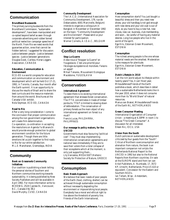# **Communication**

### **Brundtland Buzzwords**

The primary surving buzzwords from the Brundtland Commission, "sustainable development", have been manipulated and co-opted beyond belief as seen through corporate advertising and rubber boned political reelection campaign speeches of the North. From Rio we need words that guarantee action, ones that cannot be hidden behind. I suggested for discussion: Justice between people - Justice between species - Justice between generations Douglas Gook, Caribou Horse Loggers Association, CANADA

### **Education, Communication & Environment**

ECO-ED is a world congress for education and communication on environment and development which will be held Oct 17-21, 1992, in Toronto, Canada, four month after the Earth summit. It is an opportunity to discuss the results of Brazil and to share the best curricula and the resource materials from around the world. Brochures at the Canada/ USA exhibit.

Nola Seymoar, ECO-ED, CANADA

### **Road to Rio**

After a very long consideration I come to the conclusion that proper communication among the non government organisations will create firm determination. Co-operation, co-ordination in accepting the resolutions on Agenda Ya Wananchi would provide enough protection to global environment condition for the future generation. Though there are little emotions let us join together to find roads to Rio for our entire satisfaction. M.L.E. Manoharan, Gramodaya, INDIA

# **Community**

### **Book on Grassroots Community Initiatives**

Our coalition is publishing a book telling the personal stories of Southern and Northern communities working towards sustainability. It is being published by New Society Publishers and will be available in April 1992. For more information write to: BCEDWG, 2524 Cypress St., Vancouver, B.C., Canada V6J 3N2 David Murphy, CUSO, CANADA

### **Community Development**

The I.A.C.D. (International Association for Community Development, 179, rue de Debarcadere, 6001 Marcinelle, Belgium) intends to organize a colloquium in Bangkok in November or December 1992 on the topic: "Community Development and Environment". Please send us your interest for participation. Werner Cornelis, A.I.D.A.C., BELGIUM

# **Conflict resolution**

### **Stop La Guerre**

Aidez-nous à "Stopper la Guerre" en Yougoslavie. C'est une priorité pour l'écologie européenne et mondiale. Faisons un appel! Mihail Tokarev, Mouvement Ecologique

Macédoine, YUGOSLAVIA

# **Conservation**

### **International Agreement**

To date there is no existing international agreement that stresses forest conservation. The ITTA concentrates in trade of timber porducts; TFAP is limited to slowing down of deforestation. The conservation of primary forests as the main object of any international agreement on forest is a must!!

Francis Lucas, PHILDHRRA, PHILIPPINES

### **Our message to policy makers, for the UNCED**

Governments must stop favouring "political cost". They must stop implementing international conservation agreements and national laws immediately if they are to save their voters from a total collapse of their ecosystems which at the moment, is only just supporting them... Lily Venizelos, MEDASSET/Hellenic

Society for Protection of Nature, GREECE

# **Consumption**

### **Basic Needs Approach**

We believe that basic needs of poor people of the Earth (food, clothing, shelter) can be achieved through sustainable consumption without necessarily degrading the environment or impoverishing local people. Everybody has a moral and ethical right to live above the threshold of poverty line. Friends of the Earth International,

### **Consumption**

How consumption starts? You just bought a beautiful dress and then you need new shoes; your old handbag is not god enough with new derss and your old coat is out of style, so you have to buy a new hat, new cloves, new car, business, club membership, and soon... be careful of having any material desires. Long live people who live in the world of the spirit.

Ege Hirv, Estonian Green Movement, **ESTONIA** 

### **Consumption**

The richest among people is the one whose material needs are the smallest. Moderation is the measure for plenitude. Ege Hirv, Estonian Green Movement, **ESTONIA** 

### **Dutch Lifestyle in 2010**

Can the rich world adjust its lifestyle within twenty years? Yes, it can! Next year, Milieudefensie/Friends of the Earth publishes a book, which describes in detail how a sustainable Netherlands looks like in the year 2010, when it does not consume more than its "World Share" of natural resources.

Manus van Brakel, Milieudefensie/Friends of the Earth NL, NETHERLANDS

### **Green Consumer Meeting**

International Organization of Consumer Union - a meeting at 6.30PM in room 1 to discuss "The Green Consumer". A discussion for all interested. Eileen Nic, IOCU, USA

### **Vision from the South**

Dutch policies on sustainable development criticized by four guests from the "South". Critical of Northern overconsumption and alienation from nature, the book is an important companion not onlyto the Netherlands National Report to the UNCED in 1992 but also to the National Reports from Northern countries. On sale at the EUROPE stand and from Ian van Arkel Publishers, A. Numkade, 17, 3572 KP, Utrecht, Netherlands. Price US \$10 or equvalent. Concession for the Eastern and Southern NGOs. Ian Tellam, Wise - Amsterdam, **NETHERLANDS**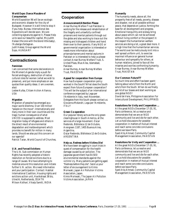### **World Expo: Dance Macabre of Consumerism**

World Exposition 96 will be an ecologic and economic disaster for the city of Budapest. However it is still time to stop it if you help. Bureau international des Expositions will decide soon. We are collecting signatures against it. Please Help us to save our beautiful capital. Ms Judith Halasz (the one with the blond little baby), l'Auberge d'artagnan.

Judit Halasz, Group against the World Expo, HUNGARY

# **Contradictions**

### **Feminism**

I am concerned that some declarations in the Women's Agenda imply a push for forced androgyny, destruction of native cultural roles for women (what we wish to preserve), and put more emphasis on sex quotas than quality ideas. (I am a women, also)

Leslee Kulba, Citizen Action Alliance, USA

### **Migration**

Migration of peoples has emerged as a major world dilemma. Over 100 million "people on the move". Internationally and many more in their own countries are the tragic human consequence of what UNCED is supposed to address. Most migration today of refugees and others in the direct result of environmental degradation and maldevelopment which provides no benefit for million in many lands. Should we also put this concern on our agenda?

Patrick Taran, World Council of Churches,

### **U.N. and Forced Evictions**

The U.N. Sub-commission on Human Rights has recently adopted a historic resolution on forced evictions due to a range of causes. We have attempting to mobilize around this resolution and initiate further U.N. action. We need information and your participation. Contact: Habitat International Coalition, Housing rights and evictions action unit, Havikstraat 38 bis, Utrecht, Netherlands, 3514 TR Miloon Kothari, Vikalp Samiti, INDIA

# **Cooperation**

### **Announcement/Attention Please**

Ansar Burney Welfare Trust Pakistan is working for the release and rehabilitation of the illegally and unlawfully confined prisoners and mental patients through out the globe and also working to trace out the missing and kidnapped children and hand them over to their parents. If any NGO or governmental organization is interested or needs more information about prisons/prisoners and mental asylums in Pakistan or is interested to help us please contact Ansar Burney Welfare Trust, S. United Plaza, Blue Area, Islamabad, Pakistan.

Ansar Burney, Ansar Burney Welfare Trust, PAKISTAN

### **Appeal for cooperation from Europe**

How has European cooperation policy worked in the South? What does the South expect from future European cooperation? This will be the subject of an international conference organized by Lega per l'Ambiente in Italy, next November. Delegates from the South please contact us. Giovanna Melandri, Lega per l'Ambiente, ITALY

### **Green Co-operation**

Our popular library acts as the only green clearinghouse in South America, at the services of a large movement. Oscar Redondo, Biblioteca 12 de Octubre, Arengreen 1187, 1405 Buenos Aires, Argentina. Oscar Redondo, Bibliotece 12 de Octubre, ARGENTINA

### **Help us. Redress before Victims Die!**

We have been struggling in court trials in quest of compensation for the health damage caused by air pollution. The Japanese government has EASED environmental standards against the victims' cry. Many patients are getting aged. "Redness before they die". Send us your letter of encouragement to Kimio Moriwaki, Japan Air Pollution Victims Association, Japan. Kimio Moriwaki, The Japan Air Pollution Victims Association, JAPAN

### **Humanity**

The humanity needs, above all, the prosperity free of all needs, poverty, disease and disaster, not at all possible without peace, that depends on justice, forming the base for all development and progress. Emotional tranquillity and ecstasy bring about peace which can not be achieved without living comfort or the prospect in the respect the humanitarian welfare services are doing a lot, a great deal more. it is high time that the humanitarian services. The world over be meticulously knit into a well spread uniform unit, to exercise maximal influence on general human behaviour and sympathy for others, at human relations, joined to face all the miseries and worries confronting humanity. Ansar Burney, Ansar Burney Welfare Trust, PAKISTAN

### **Our Common Future???**

So much time and effort has been spent talking about who's from the North and who's from the South. When do we finally get rid of our biases and start working as one global NGO! David de Vera, Philippine Association For Intercultural Development, PHILIPPINES

### **Resolutions for Unity and Cooperation ...**

At the great NGOs December 17-20, 91, Paris conference, let us resolve and demonstrate that we are an NGO community and live and die for each other. Let us hold discussions for possible cooperation in matters of mutual interest and reach some concrete conclusions before we leave Paris. Syed Atiq Ahmad, Community Capital

Management Association, PAKISTAN

### **Resolutions for Unity and Cooperation ...**

At the great NGOs December 17-20, 91, Paris conference, let us resolve and demonstrate that we are an NGO community and live and die for each other. Let us hold discussions for possible cooperation in matters of mutual interest and reach some concrete conclusions before we leave Paris.

Syed Atiq Ahmad, Community Capital Management Association, PAKISTAN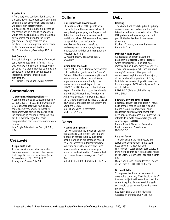### **Road to Rio**

After a very long consideration I come to the conclusion that proper communication among the non government organisations will create firm determination. Co-operation, co-ordination in accepting the resolutions on Agenda Ya Wananchi would provide enough protection to global environment condition for the future generation. Though there are little emotions let us join together to find roads to Rio for our entire satisfaction.

M.L.E. Manoharan, Gramodaya, INDIA

### **Self Conduct**

The political impacts and aims of our work can't be separated from its forms. That's why we have to define the forms as we do our aims. We should practice solidarity and cooperation among ourselves instead of leadership, personal ambition and glorification.

All Female German and Swiss Delegates,

# **Corporations**

### **"Corporate Environmentalism"???**

According to the Wall Street Journal (July 23, 1991, p.B-1), a 1991 poll of 200 senior U.S. Business Executives found 89% of those executives convinced that their companies were doing a good or excellent job of managing environmental problems, but 43% acknowledged that their companies had paid fines for environmental crimes.

Jack Doyle, Friends of the Earth, U.S.A., USA

# **Créativité**

### **Cirque du Monde**

Atelier - work shop - taller - éducation l'environnement. création collective de tout les participants en salle Lazer (salle Observateurs), 18th , 17.30-19.00 h Anonymous Clown, BRASIL

# **Culture**

### **Our Culture and Environment**

The cultural values of the people are a crucial factor in the success or failure of every development program. Projects that did not account for local customs and traditional beliefs of the communities, have collapsed due to lack of popular mobilization. We must, therefore, re-discover our cultural roots, integrate progress with tradition and strengthen the roots for the future. Sylvester Sentamu-Makumbi, JEEP, UGANDA

### **Vision from the South**

Dutch policies on sustainable development criticized by four guests from the "South". Critical of Northern overconsumption and alienation from nature, the book is an important companion not onlyto the Netherlands National Report to the UNCED in 1992 but also to the National Reports from Northern countries. On sale at the EUROPE stand and from Ian van Arkel Publishers, A. Numkade, 17, 3572 KP, Utrecht, Netherlands. Price US \$10 or equvalent. Concession for the Eastern and Southern NGOs. Ian Tellam, Wise - Amsterdam, **NETHERLANDS** 

# **Dams**

### **Meeting on Big Dams?**

I am working with the movement against the Narmada Dam Project (World Bank funded) in central India. Would other people working on big dams and related issues be interested in formally meeting sometime during the conference? I also have slides I can show, if we can get a projector, and a video film. Please contact catch me or leave a message with Da Zi Bao.

Ashish Kothari, KALPAVRIKSH, INDIA

# **Debt**

### **Banking**

The World Bank sends help but help brings destruction of land, waters and life and takes the best from us away in return. The IMF pretends to help manage our credit possibilities but lands us in worse debt situations.

Kocherry Thomas, National Fisherman's Forum, INDIA

### **Debt for Nature Swaps**

As ecologists and from a Southern perspective, we reject Debt-for-Nature swaps considering: 1- The debt was imposed and paid back many times over. 2- There is an ecological debt, accumulated during 500 years of robbing natural resources and exploitation of the majority of the third world population. 3- They facilitate the transfer of genetic resources from our region. 4- They imply a new form of colonialism.

REDES-AT (Friends of the Earth), URUGUAY

### **Les ONG doivent gèner la dette.**

Les ONG doivent gèner la dette. A l'issue de la premier séance pleinière Madame Fatima Alaoui, Présidente du Forum Maghrebin pour l'environnement et le developpement a proposé que la dette et les interêts de la dette doivent être genés et controlés par les ONG. Fatima Alaoui, Moroccan Forum for Environment and Development, MOROCCO

### **Let's not forget**

The debt crisis is the main obstacle to sustainable development in the South. Read book on "Debt crisis and environment" based on four case studies in third world countries. Available at: Friends of the Earth, Netherlands - see participants list.

Manus van Brakel, Milieudefensie/Friends of the Earth NL, NETHERLANDS

### **Write off debts**

To improve the financial resources of developing countries, West should write off the debt, subject to the condition that the amount required for debt servicing each year would be earmarked for environment projects.

Raziuddin Shaikh, Family Planning Association of Pakistan, PAKISTAN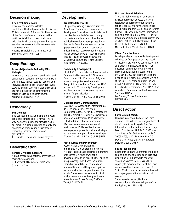# **Decision making**

### **The Resolutions' Boom**

If each of the workshops tabled 5 resolutions, the final plenary should discuss 110 documents in 3,5 hours. So, the success of the Paris conference is related to the participants' ability to select their very priorities. It will be a very interesting test to see whether we are actually more concrete than governments.

Roberto Smeraldi, NGO International Steering Committee, ITALY

# **Deep Ecology**

### **Eco-social Justice & Solidarity With Living B**

We must change our work, production and consumption patterns in order to achieve a world "injustice free (between peoples and individuals), greed-free, cruelty-free (even towards animals). Actually such three goals are not expressed in one movement all together. Lets start this movement. Marinella Corregia, ITALY

# **Democracy**

### **Self Conduct**

The political impacts and aims of our work can't be separated from its forms. That's why we have to define the forms as we do our aims. We should practice solidarity and cooperation among ourselves instead of leadership, personal ambition and glorification.

All Female German and Swiss Delegates,

# **Desertification**

### **Forests, Civilisation, Deserts**

"Forest precede civilisations, deserts follow them." Chateaubriand Kishore Sant, Ubeshwar Vikas Mandal (UVM), INDIA

# **Development**

### **Brundtland Buzzwords**

The primary surving buzzwords from the Brundtland Commission, "sustainable development", have been manipulated and co-opted beyond belief as seen through corporate advertising and rubber boned political reelection campaign speeches of the North. From Rio we need words that guarantee action, ones that cannot be hidden behind. I suggested for discussion: Justice between people - Justice between species - Justice between generations Douglas Gook, Caribou Horse Loggers Association, CANADA

### **Community Development**

The I.A.C.D. (International Association for Community Development, 179, rue de Debarcadere, 6001 Marcinelle, Belgium) intends to organize a colloquium in Bangkok in November or December 1992 on the topic: "Community Development and Environment". Please send us your interest for participation. Werner Cornelis, A.I.D.A.C., BELGIUM

### **Développement Communautaire**

L'A.I.D.A.C. (Association Internationale de Développement et d'Action Communautaires, 179 rue du Débarcadère, B6001 Marcinelle, Belgique) organisera en novembre ou décembre 1992 à Bangkok (Thaïlande) un colloque concernant: "Développement communautaire et environnement". Nous attendons vos témoignages et prises de position, ainsi que votre intérêt pour participer à ce colloque. Werner Cornelis, A.I.D.A.C., BELGIUM

### **Peace, Justice and Development**

Peace, justice and development ingredients of the emerging world order. Without justice peace becomes a nightmare or the least of a reverie while the development rests on peace further opening into prosperity, that shapes the human charecter towards better relations and human attitudes and the pathetic grip for better social order co-operation and filial bonds. Globe needs development but with justice to every human beings and peace. Ansar Burney, Ansar Burney Welfare Trust, PAKISTAN

### **U.N. and Forced Evictions**

The U.N. Sub-commission on Human Rights has recently adopted a historic resolution on forced evictions due to a range of causes. We have attempting to mobilize around this resolution and initiate further U.N. action. We need information and your participation. Contact: Habitat International Coalition, Housing rights and evictions action unit, Havikstraat 38 bis, Utrecht, Netherlands, 3514 TR Miloon Kothari, Vikalp Samiti, INDIA

### **Vision from the South**

Dutch policies on sustainable development criticized by four guests from the "South". Critical of Northern overconsumption and alienation from nature, the book is an important companion not onlyto the Netherlands National Report to the UNCED in 1992 but also to the National Reports from Northern countries. On sale at the EUROPE stand and from Ian van Arkel Publishers, A. Numkade, 17, 3572 KP, Utrecht, Netherlands. Price US \$10 or equvalent. Concession for the Eastern and Southern NGOs. Ian Tellam, Wise - Amsterdam,

NETHERLANDS

# **Direct action**

### **Earth Summit Watch**

Heads of state should attend the Earth summit. Help us keep track or your head of state's commitment to go to Rio. Send information to: Earth Summit Watch, c/o David Christensen, N.R.D.C., 1350 New York Ave., N.W. 300, Washington D.C. 20005-4705, USA, Econet:NRDCDC David Christensen, Natural Resources Defense Council, USA

### **Saving Planet Earth**

Roots of the Future Conference should be able to push the following policies to save planet Earth: 1. First world countries should be assisted in increasing their capacity to maximize the use of their own resources rather than exploit them; 2. Third World countries should not be used as dumping ground for industrial toxic wastes

Sister Agneta Lauzon, National Organization of Women Religious of the Philippines, PHILIPPINES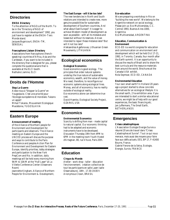# **Directories**

### **ENDA Directory**

To the attention of NGOs of the North. To be in the "Directory of NGO of environment and development" 1992, you just have to register at the ENDA-Tiers Monde stand. Jacques Bugnicourt, ENDA-TM, SENEGAL

### **Francophone Liaison Directory**

Associations from francophone (frenchspeaking) countries of Africa, Asia and the Caribbean, if you want to be included in the directory that is designed for you, please complete the questionanaire that is available at the ELCI booth. Nathalie Liamine, ELCI

# **Droits de l'Homme**

### **Stop La Guerre**

Aidez-nous à "Stopper la Guerre" en Yougoslavie. C'est une priorité pour l'écologie européenne et mondiale. Faisons un appel!

Mihail Tokarev, Mouvement Ecologique Macédoine, YUGOSLAVIA

# **Eastern Europe**

### **Announcement of meeting**

of the Alliance of Northern people for Environment and Development for participants and observers. The Alliance meeting on Eastern Europe and the UNCED process will discuss the purpose and ways to contribute to the Paris Conference and peoples Action Plan for Environment and Development for Eastern Europe, identify priorities, lobby strategies and participation to the New York PrepCom and Rio. In addition, daily meetings will be held every morning from 9AM to 10AM at the "Hall Laser" at La Villette Conference Center (Observers Room)

Jeannette Kingham, Alliance of Northern People for Environment & Development,

### **The East Europe - will it be too late?**

The new tendencies in North and South relations are intended to create new, more genuine possibilities for sustainable development of Southern countries, And what about East Europe? It is eager to achieve Western model of development as soon as possible - with all its mistakes and losses but without its reserves. Are we intended to repair these mistakes later? But will it not too late?

Aleksandras Agafonovas, Lithuanian Green Movements, LITHUANIA

# **Ecological economics**

### **Ecological Economics**

Good economics is good ecology. The principles that order natural systems underlay the true nature of sustainable economics, wealth, and the value of money. We need, therefore, to reconfigure our economic systems along ecological lines. Money, and all of economics, has no reality outside of ecological reality.

Eco-economics alone can determine true cost.

David Haenke, Ecological Society Project, OZARKS, USA

# **Economics**

### **Environmental Economics**

Scarcity is shifting from man - made capital to natural capital. Our economic thinking had to be adapted and economic instruments have to be developed. Discussion Thursday 19th from 4PM to 6PM in the meeting room Youth Hostel d'Artagnan, 80, rue Vituve, Paris 20th.

# **Education**

### **Cirque du Monde**

Atelier - work shop - taller - éducation l'environnement. création collective de tout les participants en salle Lazer (salle Observateurs), 18th , 17.30-19.00 h Anonymous Clown, BRASIL

### **Eco-education**

We are preparing a workshop in Rio on "building the new world". We belong to the Argentine network on social ecology. Please join us: Eco-Multiversidas, C.C. Central 1993, Buenos Aires 1000, Argentina Eco-Multiversidad, ARGENTINA

### **Education, Communication & Environment**

ECO-ED is a world congress for education and communication on environment and development which will be held Oct 17-21, 1992, in Toronto, Canada, four month after the Earth summit. It is an opportunity to discuss the results of Brazil and to share the best curricula and the resource materials from around the world. Brochures at the Canada/ USA exhibit.

Nola Seymoar, ECO-ED, CANADA

### **Environmental Education**

Your own small earth? In Holland 20 years ago a project started to show concrete alternatives for an ecological lifestyle: it is the small earth, 2 ha exhibition area. if you are interested to start a similar educational centre, we might be of help with our good experiences, the basic financing etc. Jan Juffermans, The Small Earth, **NETHERLANDS** 

# **Emergencies**

### **Crises catastrophiques**

L'Association Ecologie Energie Survie a résumé 20 ans de travail dans "Crises Catastrophes et Survie". Tout ce qui nous menace, mais aussi des moyens pour faire face aux défis actuels. EES, BP 17, F-41400 Bourre, France. Gabriel Ferone de la Selva, Ecologie, Energie, Survie, FRANCE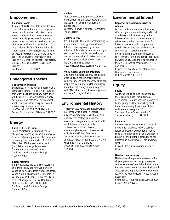# **Empowerment**

### **Empower People**

A group of NGOs have taken the decision to: a. enhance and promote participatory democracy; b. ensure that citizens have access to information; c. ensure a more democratically government in system; d. democratise the decision making structure of international lending institutions. An international platform "Empower People International" is being established for that purpose. Interested NGOs are welcome to get forms and further information from French NGOs stall or write to: Facilitators, C.E.D.I., 229, bd Voltaire, 75011 Paris, France

Facilitators, C.E.D.I., FRANCE

# **Endangered species**

### **Conservation and man**

Sea turtles are in the way of modern man... some people think: if we get rid of turtles they won't be endangered any more, they will be extinct! Curious that man is only one animal who befouls his environment ... what is for sure is that this planet could survive very nicely without him ... Lily Venizelos, MEDASSET/Hellenic Society for Protection of Nature, GREECE

# **Energy**

### **ENERGIA - Una Junta**

Para discutir temas y estrategias de la eficiencia de energia y la energia renovable: Que necesitamos aprender entro nosotros mismos? y Que decimos a la U.N.C.E.D.? Miercoles,1900 horas - toma el camion (bus) PG a L'Auberge de Jeunesse D'Artagnan, 80 Rue de Vitruve. Cal Broomhead, California Energy Network, USA

### **Energy Meeting**

To discuss issues and strategies regarding energy efficiency and renewable energy: What do we need to learn from each other? What is our message to UNCED? Join us Wednesday, 1900 hours. Take the PG Bus to 80 L'Auberge de Jeunesse D'Artagnan, 80 Rue de Vitruve (Youth Hostel). Cal Broomhead, California Energy Network, USA

### **Nuclear**

This conference must protest against all forms of transfer of nuclear power plants in the South. Put an end to all forms of nuclear tests.

Kocherry Thomas, National Fisherman's Forum, INDIA

### **Nuclear Energy**

Brandishing the threat of global warming in favour of nuclear energy, its worldwide diffusion is being pushed by nuclear industry. A fatal risk is thus replaced by an even more fatal one, further feeding te Northern energy glut. A NGO resolution for phasing out nuclear energy must therefore get highest priority. Freda Meissner Blau, Ecoropa, AUSTRIA

### **Work, Global Warming, Drudgery**

One more injustice: not only rich people are the biggest consumers but also, as workers, they use a lot of energy while poor people are working with a lot of drudgery. Should we not change also our way of work? More hand work, Less energy wasted. Marinella Corregia, ITALY

# **Environmental History**

**History of Environmental Conservation** In order to write a book, we search histories, chronologies, case studies and reports of the ecology/environment movements everywhere in the world with exact dates of landmark events: conferences, pollution disasters, outstanding books, etc ... Please write to: Mr Roland de Miller, Centre de Documentation Eco-Philosophique, Le Chateau, Sigoyer, 04200 Sisteron, France Roland de Miller, Centre de Documentation Eco-Philosophique, FRANCE

# **Environmental Impact**

### **Impact of environmental issues on women**

Women and children are most seriously affected by environmental degradation all over the world. It is especially in the interest of women that urgent steps be taken to strengthen the machinery for international economic co-operation, sustainable development and control of environmental degradation. My organisation thinks that the impact of environmental and development processes on women's situation must be dicussed in the UNCED and be reflected in UNCED documents.

Brigitte Triems, Women's International Democratic Federation, INTERNATIONAL NGO

# **Equity**

### **Equity**

"Without ecological justice and equity, there can be no basis for sustainable development. Nature has as much right to be life-giving and life-supporting as all humanity has a right to a share of the earth's resources equitably." Southeast Asian Consortium for Env. Sustainable Dev., PHILIPPINES

### **Feminism**

I am concerned that some declarations in the Women's Agenda imply a push for forced androgyny, destruction of native cultural roles for women (what we wish to preserve), and put more emphasis on sex quotas than quality ideas. (I am a women, also)

Leslee Kulba, Citizen Action Alliance, **USA** 

### **Gender consciousness**

Moderators, chairpersons please note: For all your plenaries, workshops we request gender awareness/sensitivity. Please let me know how your resolutions/conclusions will affect gender, in particular women. Please let me have your feedback. (Hotel Arcades, Room 309) Khethiwe K. Moyo Mhlanga, African 2000 Project, ZIMBABWE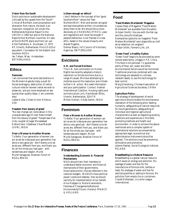### **Vision from the South**

Dutch policies on sustainable development criticized by four guests from the "South". Critical of Northern overconsumption and alienation from nature, the book is an important companion not onlyto the Netherlands National Report to the UNCED in 1992 but also to the National Reports from Northern countries. On sale at the EUROPE stand and from Ian van Arkel Publishers, A. Numkade, 17, 3572 KP, Utrecht, Netherlands. Price US \$10 or equvalent. Concession for the Eastern and Southern NGOs.

Ian Tellam, Wise - Amsterdam, **NETHERLANDS** 

# **Ethics**

### **Feminism**

I am concerned that some declarations in the Women's Agenda imply a push for forced androgyny, destruction of native cultural roles for women (what we wish to preserve), and put more emphasis on sex quotas than quality ideas. (I am a women, also)

Leslee Kulba, Citizen Action Alliance, USA

### **Freedom from slavery of greed**

"No real change can come about in this unsustainable age till man frees himself from the slavery of greed." Paraphrase of an Urdu couplet of Jiagar Moradabadi Kishore Sant, Ubeshwar Vikas Mandal (UVM), INDIA

### **From a Woman to Another Woman**

To Bella: If our generation of women can act as we do is because your generation has done a very good job - don't blame us to be as we are, different from you, and thank you for all the minds you had open - with tenderness and respect. Muriel Muriel Saragoussi, Brazilian Forum of NGOs, BRASIL

### **Is there enough on ethics?**

I don't believe in the concept of the "good Southern/Poor" versus the "bad Northern/Rich". Men and women are good and bad everywhere as their circumstances allow them to be. We should focus more decisively on CHANGING ETHICS. Laws and regulations will never be enough if people's behaviour is not framed in a new ethic, based in the values of equity and shared frugality.

Delmar Blasco, Int'l Council of Voluntary Agencies, SWITZERLAND

# **Evictions**

### **U.N. and Forced Evictions**

The U.N. Sub-commission on Human Rights has recently adopted a historic resolution on forced evictions due to a range of causes. We have attempting to mobilize around this resolution and initiate further U.N. action. We need information and your participation. Contact: Habitat International Coalition, Housing rights and evictions action unit, Havikstraat 38 bis, Utrecht, Netherlands, 3514 TR Miloon Kothari, Vikalp Samiti, INDIA

# **Feminism**

### **From a Woman to Another Woman**

To Bella: If our generation of women can act as we do is because your generation has done a very good job - don't blame us to be as we are, different from you, and thank you for all the minds you had open - with tenderness and respect. Muriel Muriel Saragoussi, Brazilian Forum of NGOs, BRASIL

# **Finances**

### **Understanding Economic & Financial Mechanisms**

NGOs should train their members to understand better economic and financial mechanisms of their governments; financial/economic choices reflected in the national budgets. We NGOs have political power (votes and lobbies), that we should use fully for implementation of our beliefs. Alice Hodgson & Marie Kranendonk, Femmes et Changements/National Environmental Forum, Holland, FRANCE & HOLLAND

# **Food**

### **"Food Matters Worldwide" Magazine**

Copies (free) of Magazine "Food Matters Worldwide" are available from the editor (Alistair Smith): the one with the flat cap and the colourful briefcase. Exemplaires (gratuits) du magazine "Food Matters Worldwide" sont disponible au chef de sa redaction (en anglais!) Alistair Smith, Farmer's Link, UK

### **"Green Food" a Healthy Option**

"Green Food" begins to be provided by some remote state farms, villages in P.R. China. This food is not polluted. To guarantee parity of food, soil, water and other environmental factors would be monitored. Traditional practices combined with new technology are adopted to cultivate resistant seeds, to use this technology for best control.

Wang Qianzhong, Chinese Association of Agricultural Sciences Societies, CHINA

### **Agriculture Policy**

The strategy of development of world agriculture should enable the simultaneous realization of the following aims: feeding humanity, safeguarding of natural resources for future generations, safeguarding of individual and regional agricultural characteristics as well as respecting existing traditions and experiences in this field, promoting methods and health and environment. In order to achieve the above mentioned aims a complex system of international solutions accompanied by appropriate legal, economical and administrative instruments should be applied. The solutions must be preventive, stimulative and promotive. Jolanta Pawlak, Social Ecological Institute, POLAND

### **Breastfeeding is a Natural Resource**

Breastfeeding is a global natural resource which saves on energy and pollution. No wastage of water and fuel for the manufacture of formula milk, bottles or teats. No wastage of water and fuel for sterilising bottles or adding to formula. No pollution from empty tins or containers. Claude Didierjean, La Leche League International,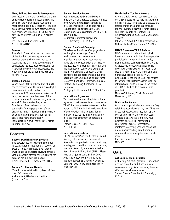### **Meat, Soil and Sustainable development**

Less meat for the North to reduce the claim on land (for fodder) and fossil energy, the people of the North should reduce their meat consumption by at less 50%. It will be even positive for their own health, because now their consumption (180-200 gr / per day) is 2 to 3 times too high for a healthy diet!

Jan Juffermans, The Small Earth, **NETHERLANDS** 

### **Oceans**

The World Bank helps the poor countries of the South to develop aquaculture to produce prawns which are exported to Japan and the USA. The development of aquaculture replaces paddy cultivation of rice which the poor countries peoples eat. Kocherry Thomas, National Fisherman's Forum, INDIA

### **Organic Farming**

When people take up the task of tilling the soil to produce food, they must also adopt a conscious attitude to protect the environment. When someone makes use of land, that person must be aware of the natural relationship between soil, plant and animal. This understanding is the foundation of natural farming - a sustainable farming system we refer as organic farming. This relationship needs to be bought into the deliberations of this conference more emphatically. John Njoroge, Kenya Institute of Organic Farming, KENYA

# **Forests**

### **Boycott Swedish forestry products**

The Swedish action to save the mountain forests calls for an international boycott of Swedish forestry products. Even though Sweden has a 58% forest cover, the fragile virgin mountain forests, covering only a few percent, are still being exploited. Goran Eklof, SEED- Sweden, SWEDEN

### **Forests, Civilisation, Deserts**

"Forest precede civilisations, deserts follow them." Chateaubriand Kishore Sant, Ubeshwar Vikas Mandal (UVM), INDIA

### **German Position Papers**

Position papers by German NGOs on different UNCED related subjects (climate, biodiversity, forests, resource use and international trade) can be obtained on request from Projektstelle UNCED, DNR/Bund, Königswinterer Str. 665, 5300 Bonn 3, FRG Deutscher Naturschutzring/Bund

(FOE-Germany), GERMANY

### **German Rainforest Campaign**

The German Rainforest Campaign started working half a year ago. Over 40 environment and development organisations put the focuson German trade, aid and consumption that leads to the destruction of tropical rainforests and the livelihood of people who depend on them. We demand changes in German politics that put people first and build up alternatives to unsustainable use of forest resources. For further information, please contact: Wolfgang Kuhlmann, ARA, Germany

Wolfgang Kuhlmann, ARA, GERMANY

### **International Agreement**

To date there is no existing international agreement that stresses forest conservation. The ITTA concentrates in trade of timber porducts; TFAP is limited to slowing down of deforestation. The conservation of primary forests as the main object of any international agreement on forest is a must!!

Francis Lucas, PHILDHRRA, PHILIPPINES

### **International Vandalism**

The Wilderness Society, Australia, would like any information you have about Australian companies involved in mining , forestry, etc. operations in your country, eg. North Broken Hill, National Australia Bank, Broken Hill Pty. Ltd. (BHP). Please send to 1A James Lane, Sydney 2000 Australia or leave your card/name at Indigenous Peoples Counter Number 3. Karenne Jurd, The Wilderness Soceity, AUSTRALIA

### **Nordic-Baltic Youth conference**

A Nordic-Baltic youth conference on the UNCED process will be held in Stockholm 6-8 March 1992. Topics to be discussed are forests, traffic, the Baltic sea, amongst others. Invitation especially for the Nordic and Baltic countries. Contact: Elin Andersson, Box 6022, S-19106 Sollentuna, Sweden

Johan Niss, Swedish Youth Association for Nature Studies/Conservation, SWEDEN

### **UNCED destroys TFAP Reform**

NGO attempts to reform the tropical forestry action plan, by insisting on popular participation in national forest policy planning, have been torpedoed by UNCED. A substantial consensus on new goals, objectives and structures for TFAP, that would have secured NGO input and land rights have been blocked by FAO. Consequently the World Bank has refused to introduce the reforms as this might be interpreted as quite divisive in the context of ... UNCED. Result: Governments 1, people 0.

Marcus Colchester, World Rainforest Movement, UK

### **Walk to the Amazon**

Who in his right mind would destroy a fairy tale? Everybody loves a fairy tale. They are of eternal beauty. And they light up the eyes of children "Walk to the Amazon" purpose is to save the rainforest, Paul Coleman's project is: International environment centre, international rainforest marketing network, schools of native understanding, credit unions, communal enterprise systems and much more!

Patricia Hume, Taller Espacio Verde, MEXICO

# **Gaia**

### **Act Locally, Think Globally**

Act locally but think globally. Our earth is just like a satellite and it has our own ecosystem so any disturbance may have an effect on the whole universe. Suresh Dewan, Save the Soil Campaign, INDIA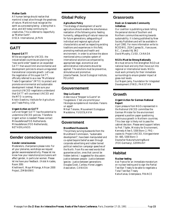### **Mother Earth**

All human beings should realize that mankind is kept alive through the greatness of nature. Mankind must recognize the earth as a processing being - a being that is alive, and still today continuing its creativities. This is referred to respectfully as "Mother Earth".

OISCA International, JAPAN

# **GATT**

### **Beyond GATT**

While we organize for UNCED, the industrialized countries are planning the "new world order" based on an expanded GATT that would limit environmental and development policies to ensure unregulated transnational corporate growth. Let's use the negotiation of this super GATT, officially referred to as a new "Multilateral Trade Organization" (MTO) to protect and promote environmental and sustainable development instead. Make sure your country's UNCED negotiators understand that GATT will counteract UNCED and the MTO is coming. Kristin Dawkins, Institute for Agriculture and Trade Policy, USA

### **Urgent Action on GATT**

Let's not forget! GATT has the potential to undermine UNCED policies. Therefore: Urgent action is needed! Please contact Milieudefensie/FOE-Netherlands. Milieudefensie (FOE-Netherlands), NETHERLANDS

# **Gender consciousness**

### **Gender consciousness**

Moderators, chairpersons please note: For all your plenaries, workshops we request gender awareness/sensitivity. Please let me know how your resolutions/conclusions will affect gender, in particular women. Please let me have your feedback. (Hotel Arcades, Room 309)

Khethiwe K. Moyo Mhlanga, African 2000 Project, ZIMBABWE

# **Global Policy**

### **Agriculture Policy**

The strategy of development of world agriculture should enable the simultaneous realization of the following aims: feeding humanity, safeguarding of natural resources for future generations, safeguarding of individual and regional agricultural characteristics as well as respecting existing traditions and experiences in this field, promoting methods and health and environment. In order to achieve the above mentioned aims a complex system of international solutions accompanied by appropriate legal, economical and administrative instruments should be applied. The solutions must be preventive, stimulative and promotive. Jolanta Pawlak, Social Ecological Institute, POLAND

# **Gouvernement**

### **Stop La Guerre**

Aidez-nous à "Stopper la Guerre" en Yougoslavie. C'est une priorité pour l'écologie européenne et mondiale. Faisons un appel! Mihail Tokarev, Mouvement Ecologique Macédoine, YUGOSLAVIA

# **Government**

### **Brundtland Buzzwords**

The primary surving buzzwords from the Brundtland Commission, "sustainable development", have been manipulated and co-opted beyond belief as seen through corporate advertising and rubber boned political reelection campaign speeches of the North. From Rio we need words that guarantee action, ones that cannot be hidden behind. I suggested for discussion: Justice between people - Justice between species - Justice between generations Douglas Gook, Caribou Horse Loggers Association, CANADA

# **Grassroots**

### **Book on Grassroots Community Initiatives**

Our coalition is publishing a book telling the personal stories of Southern and Northern communities working towards sustainability. It is being published by New Society Publishers and will be available in April 1992. For more information write to: BCEDWG, 2524 Cypress St., Vancouver, B.C., Canada V6J 3N2 David Murphy, CUSO, CANADA

### **NGOs Must be Strong Nationally**

We must strive to first strengthen NGOs at national level and only then move out into regional or international levels. NGOs must work primarily for their immediate surroundings to ensure greater impact at grass-root levels.

Gul Najam Jamy, Foundation for Integrated Development (FIND), PAKISTAN

# **Growth**

### **Urgent Action for German National Report**

Upon pressure from NGOs represented in the National UNCED committee the German Minister for the environment prepared a position paper questioning continuous growth in Northern countries. This clear sign is likely not to pass the cabinet decision. Please send support letters to Prof. Töpfer, Ministry for Environment, Kennedy Allee 5, 5300 Bonn 2, FRG copies to: Project UNCED, Königswinterer Str. 665, 5300 Bonn 3 Deutscher Naturschutzring/Bund (FOE-Germany), GERMANY

# **Habitat**

### **Nuclear testing**

Ask France for an immediate moratorium on nuclear testing and to sign the Partial Test Ban Treaty to be able to negotiate a Total Test Ban Treaty Katia Kanas, Greenpeace, FRANCE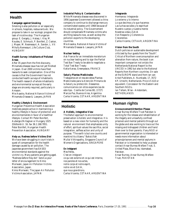# **Health**

### **Campaign against Smoking**

Smoking is also pollution or air especially in schools, hospitals, restaurants etc. We propose to take in our ecologic program the task of nicotine stop. The Hungarian group: E. Gergely, J. Halasz, I. Kiss, M. Koudes, E. Schmuck, P. Bonifert, Z. Csokar, J. Mayer, M. Nesmessuri, A. Sandor, L. Vit Miha'ly Nemessuri, Life Culture Club, HUNGARY

### **Health Survey: Inhabitants of Polluted Areas**

After 35 years from the first discovery, Minamata disease issue has not yet finished in Japan. Over 2000 victims have filed lawsuits to seek compensation. One of the causes is that the Government has not conducted health surveys of inhabitants. The health research of whole inhabitants and environmental surveys at the early stage are sincerely required, particularly in Amazon.

Mie Asaoka, National Alliance Victims of Minamata Disease & Lawyers, JAPAN

### **Healthy Lifestyle & Environment**

Hungarian Preventive Health Association mobilizes people active in maintaining a healthy lifestyle in favour of protection and environmentalists in favor of a healthier lifestyle. Contact Mr Peter Bonifert, Auberge d'Artagnan or Hungary 1025 Zöldlomb U. 16. fax 36.1.168.7851. Peter Bonifert, Hungarian Health Prevention Association, HUNGARY

### **Help us. Redress before Victims Die!**

We have been struggling in court trials in quest of compensation for the health damage caused by air pollution. The Japanese government has EASED environmental standards against the victims' cry. Many patients are getting aged. "Redness before they die". Send us your letter of encouragement to Kimio Moriwaki, Japan Air Pollution Victims Association, Japan. Kimio Moriwaki, The Japan Air Pollution Victims Association, JAPAN

### **Industrial Policy & Contamination**

While Minamata disease was discovered in 1956 Japanese Government allowed a china company to continue to dischange mercury contaminated wastes until 1968 because of its industrial policy. The Governement should compensate Minamata victims who are filing lawsuits now, as well as stop the pollution exports to the developing countries.

Mie Asaoka, National Alliance Victims of Minamata Disease & Lawyers, JAPAN

### **Nuclear testing**

Ask France for an immediate moratorium on nuclear testing and to sign the Partial Test Ban Treaty to be able to negotiate a Total Test Ban Treaty Katia Kanas, Greenpeace, FRANCE

### **Salud y Plantas Medicinales**

Trabajamos en el rescate delas Plantas Medicinales para la Atención Primaria de la Salud y su protección. Deseamos comunicarnos con otros experiencias de este tipo. Cosilla de Correo 80, (1727) Marcos Paz, Buenos Aires, Argentina Carlos Vicente, CETAAR, ARGENTINA

# **Holistic**

### **A Holistic, Integrative View**

The Baha'i approach to environmental preservation is holistic and integrative. It is based on a new vision for humanity and the natural environment that emphasizes unity of effort, spiritual values like sacrifice, social integration, selfless action and unity of purpose. "The earth is but one country and mankind its citizens." Baha'u'llah Mullai Vithirapathy, Singapore Council of Women's Organizations, SINGAPORE

### **En Intégrant**

Mes frères, C'est en intégrant ce qui est externe et ce qui est interne, nos paroles et nos actes, notre corps et notre esprit, notre vie et GAIA, que nous grandirons. Carlos Vicente, CETAAR, ARGENTINA

### **Integrando**

Hermanos: Integrando Lo externo y lo interno Lo que decimos y lo que hacemos Las luchas sociales y lo espirituel Nuestro cuerpo y nuestra mente Noestras vidas y GAIA Von Respecto y Coherencia Creceremos Carlos Vicente, CETAAR, ARGENTINA

### **Vision from the South**

Dutch policies on sustainable development criticized by four guests from the "South". Critical of Northern overconsumption and alienation from nature, the book is an important companion not onlyto the Netherlands National Report to the UNCED in 1992 but also to the National Reports from Northern countries. On sale at the EUROPE stand and from Ian van Arkel Publishers, A. Numkade, 17, 3572 KP, Utrecht, Netherlands. Price US \$10 or equvalent. Concession for the Eastern and Southern NGOs. Ian Tellam, Wise - Amsterdam,

**NETHERLANDS** 

# **Human rights**

### **Announcement/Attention Please**

Ansar Burney Welfare Trust Pakistan is working for the release and rehabilitation of the illegally and unlawfully confined prisoners and mental patients through out the globe and also working to trace out the missing and kidnapped children and hand them over to their parents. If any NGO or governmental organization is interested or needs more information about prisons/prisoners and mental asylums in Pakistan or is interested to help us please contact Ansar Burney Welfare Trust, S. United Plaza, Blue Area, Islamabad, Pakistan.

Ansar Burney, Ansar Burney Welfare Trust, PAKISTAN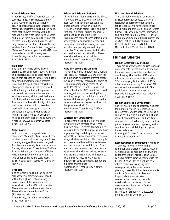### **Annual Prisoners Day**

Ansar Burney Welfare Trust Pakistan has succeded in getting the release of more than 57000 illegally and unlawfully confined prisoners and sane inmates of the mental asylums from throughout the world, some of them were confined within the high walls illegally for about 60 to 65 years and some of them were born there and not released until 40 years and were released only because of the efforts of Ansar Burney Welfare Trust. We would like to suggest a "Prisoners Day" every year from the UN side on any day on month of every year. Ansar Burney, Ansar Burney Welfare Trust, PAKISTAN

### **Humanity**

The humanity needs, above all, the prosperity free of all needs, poverty, disease and disaster, not at all possible without peace, that depends on justice, forming the base for all development and progress. Emotional tranquillity and ecstasy bring about peace which can not be achieved without living comfort or the prospect in the respect the humanitarian welfare services are doing a lot, a great deal more. it is high time that the humanitarian services. The world over be meticulously knit into a well spread uniform unit, to exercise maximal influence on general human behaviour and sympathy for others, at human relations, joined to face all the miseries and worries confronting humanity. Ansar Burney, Ansar Burney Welfare Trust, PAKISTAN

### **Nobel Award**

With reference to this great Paris conference "Roots of Future" I came here as an observer and before leaving I would like to strongly suggest the name of the great Pakistanian human rights activist Mr Ansar Burney, advocate of Ansar Burney Welfare Trust of Pakistan, for the award of Nobel Prize in recognition to his services in the field of human rights and social work. Saghir Asghar Safir, Islamic PAIC Society, FRANCE

### **Prisoners**

The prisoners throughout the world are also part of our society who are lodged within the high walls of our society ie prisons, most of them are innocent, especially in the Third World countries. Please also look into them - help them. Please also help Ansar Burney Trust (Pakistan) to help them. Ansar Burney, Ansar Burney Welfare Trust, PAKISTAN

### **Prisons and Prisoners Reforms**

Through international press and Da Zi Bao. We would like to draw your attention needs your help for the prisons and the mental asylums in your own country. Millions of human beings legally or illegally confined in different prisons and mental asylums of globe under different circumstances, some of these unfortunates need legal help, financial help, food and clothes and their reforms along with love and affection specially in developing countries. They are in a very bad situation and need our help and attention. Please, please help the neglected helpless. Ansar Burney, Ansar Burney Welfare Trust, PAKISTAN

### **Rape of Women/Girls/Children**

I have come to this conference as a human right atcivist. I received 131 awards in the field of human rights from different parts of the globe. Recently I received the award of "Top outstanding young person of the world 1991" from Helsinki, Finland and "Man of the Earth 1991" from USA. I need your suggestions how we can stop the alarming/ dangerous conditions of rape of women, children and girls and how to the stop child abuse and neglect in all parts of the globe, specially in Asia. Ansar Burney, Ansar Burney Welfare Trust, PAKISTAN

### **Suggestions/Human Beings**

To achieve the goal and task of "Roots of the future" Paris conference we Ansar Burney Welfare Trust Paristan would like to suggest to do something special and fight in your country and take part in the war against the discrimination between human beings which is a violation of human rights and there should be no difference between black and white, poor and rich, ect. Even one country man to another country man because we all are human beings, we are all brothers and sisters and we all are same so we should live together without any difference in same conditions, honour and in a same environment. Ansar Burney, Ansar Burney Welfare Trust, PAKISTAN

### **U.N. and Forced Evictions**

The U.N. Sub-commission on Human Rights has recently adopted a historic resolution on forced evictions due to a range of causes. We have attempting to mobilize around this resolution and initiate further U.N. action. We need information and your participation. Contact: Habitat International Coalition, Housing rights and evictions action unit, Havikstraat 38 bis, Utrecht, Netherlands, 3514 TR Miloon Kothari, Vikalp Samiti, INDIA

# **Human Shelter**

### **Human Settlements Workshops**

There are six workshops in english language on human settlements. Each lasts one hour forty five minutes, and there are two each day. Tuesday 2PM land 4.15PM shelter infrastructure and services, Wednesday 2PM housing rights & evictions 4.15PM urban informal economy, Thursday 2PM women and human settlement 4.15PM participation in local governance. Davinder Lamba, Habitat International Coalition, KENYA

### **Human Shelter and Environment**

Shelter, which is one of necessary elements for human survial, is close relation to environment. Shelter needs solid, suitable and artistic housing buildings, and what is more, it needs clear, quiet and beautiful environment. Let us hand by hand effort for protecting environment, improving shelter condition and maintaining the right of human existence.

Li Mengbai, Chinese Association for Urban Science Studies, CHINA

### **Reconstruction of Settlements After War**

Thank you for your interest in the exhibition and charter for reconstruction. A meeting will be held at 6:00 p.m. in the coffee area left of Theatre Gaston Berger. We have drafted some amendments to the Citizens Action Plan to highlight issues related to the war. Working with ecological principles for settlement planning is essential if the disaster of war is not to be followed by the disaster of inappropriate or non-existent reconstruction. Working towards sustainability of settlements in the developed world is essential for the preention of war.

Mary Roslin, School of Architectural Studies, Univ. of Sheffield, UK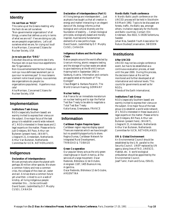# **Identity**

### **I'm not from an "NGO"**

This came up at the Greens meeting: why the heck do we call ourselves "Non-governmental organizations" of all things, a name that defines us only in terms of what we are not? If we are doing our job, we are people's organizations. Let's call ourselves what we are, for crying out loud! Alva Morrison, Concerned Citizens for Nuclear Society, USA

### **Je ne suis pas d'un "ONG"**

Cela etait discuté au rencontre des Verts. Pourquoi est-ce que nous nous appellerons des "Organizations

Non-Gouvernementales"de tout choses, un nom qui nous definissez seulement par ce que nour ne sommes pas? Si nous laissons vraiment notre travail propre, nous sommes des organizations du peuple (ou

organizations populaires). Appellons nous cela! Alva Morrison, Concerned Citizens for

Nuclear Society, USA

# **Implementation**

### **Institutions Task-Group**

NGOs (especially Southern based) are warmly invited to express their vienus on the subject. One major focus of the task group is to establish a world wide network of 1. NGOs interested in these issues and 2. legal experts on the matter. Please write to Judi Ondejans, Bill Pace, Arthur van Buitenen (present here), (WAWF), Liliegracht 21, Amsterdam, Netherlands Arthur Van Buitenen, Netherlands Committee for IUCN, NETHERLANDS

# **Indigenous**

### **Declaration of Interdependence**

We are animals who share the planet with perhaps 30 million other species. We share a common history and now a common crisis, the collapse of the clean air, water and soil. And we share a common future yet unwritten. Linked to us in a web of kinship, all living indigenous people remember this ... (to be continued) David Suzuki, (submitted by D.F. Murphy CUSO), CANADA

### **Declaration of Interdependence (Part II)**

All living beings are interdependent ... Just as physics has taught us that all creation is energy and matter interacting in an elegant dance of life, biology informs us that biological and cultural diversity are the foundation of stability ... Certain biological principles, ecologically based and morally inspired, must become fundamental elements of a new politics hope. David Suzuki, (submitted by D.F. Murphy CUSO), CANADA

### **Indigenous Nations and the Nuclear Chain**

Native people around the world affected by Uranium mining, atomic weapons testing and the storage of nuclear waste are asked to give testimony at the World Uranium Hearing held in September 1992 in Salzburg, Austria. Information and contacts are appreciated at the booth of "The Ecologist".

Claus Biegert & Barbara Pecarich, The World Uranium Hearing, GERMANY

### **Nuclear testing**

Ask France for an immediate moratorium on nuclear testing and to sign the Partial Test Ban Treaty to be able to negotiate a Total Test Ban Treaty Katia Kanas, Greenpeace, FRANCE

# **Information**

### **Caribbean Region Requires Space**

Caribbean region requires display space! There are materials which we have brought but no possibility/opportunity to share. Regina Dumas, Caribbean Network for Integrated Rural Development, TRINIDAD & TOBAGO

### **Green Co-operation**

Our popular library acts as the only green clearinghouse in South America, at the services of a large movement. Oscar Redondo, Biblioteca 12 de Octubre, Arengreen 1187, 1405 Buenos Aires, Argentina. Oscar Redondo, Bibliotece 12 de Octubre, ARGENTINA

### **Nordic-Baltic Youth conference**

A Nordic-Baltic youth conference on the UNCED process will be held in Stockholm 6-8 March 1992. Topics to be discussed are forests, traffic, the Baltic sea, amongst others. Invitation especially for the Nordic and Baltic countries. Contact: Elin Andersson, Box 6022, S-19106 Sollentuna, Sweden

Johan Niss, Swedish Youth Association for Nature Studies/Conservation, SWEDEN

# **Institutions**

### **After UNCED**

UNCED may not be a single conference event, but has to be established as a continuous evaluation process, at least until the year 2000. During this process, the decisions taken at Rio will be monitored and further developed at all international and national levels. This counts for governments as well as for NGOs.

Friends of the Earth International,

### **Institutions Task-Group**

NGOs (especially Southern based) are warmly invited to express their vienus on the subject. One major focus of the task group is to establish a world wide network of 1. NGOs interested in these issues and 2. legal experts on the matter. Please write to Judi Ondejans, Bill Pace, Arthur van Buitenen (present here), (WAWF), Liliegracht 21, Amsterdam, Netherlands Arthur Van Buitenen, Netherlands Committee for IUCN, NETHERLANDS

### **UN & Global Environment**

An Environmental Council should be established by the U.N. parallel to the Security Council. UNEP replaced by UN agency along lines of FAO, UNESCO, Habitat, etc. A world ecological ombudsman should be appointed by the Environmental Council. Josef Tamir, Haim and Eviva, ISRAEL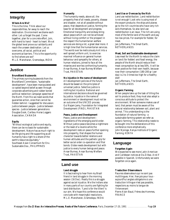# **Integrity**

### **Where Are We?**

This is the time. Think about our responsibilities, far away to reach the destination. Environment we blame each other. Let us forget the past. Come together, plan for a concrete effort. Join, with hand to hand - heart to heart. We at the global level prove our solidarity and reach the unseen destination. Let us overcome, all social, political and economical barriers. This is the opportunity to find where are we? M.L.E. Manoharan, Gramodaya, INDIA

# **Justice**

### **Brundtland Buzzwords**

The primary surving buzzwords from the Brundtland Commission, "sustainable development", have been manipulated and co-opted beyond belief as seen through corporate advertising and rubber boned political reelection campaign speeches of the North. From Rio we need words that guarantee action, ones that cannot be hidden behind. I suggested for discussion: Justice between people - Justice between species - Justice between generations Douglas Gook, Caribou Horse Loggers Association, CANADA

### **Equity**

"Without ecological justice and equity, there can be no basis for sustainable development. Nature has as much right to be life-giving and life-supporting as all humanity has a right to a share of the earth's resources equitably." Southeast Asian Consortium for Env. Sustainable Dev., PHILIPPINES

### **Humanity**

The humanity needs, above all, the prosperity free of all needs, poverty, disease and disaster, not at all possible without peace, that depends on justice, forming the base for all development and progress. Emotional tranquillity and ecstasy bring about peace which can not be achieved without living comfort or the prospect in the respect the humanitarian welfare services are doing a lot, a great deal more. it is high time that the humanitarian services. The world over be meticulously knit into a well spread uniform unit, to exercise maximal influence on general human behaviour and sympathy for others, at human relations, joined to face all the miseries and worries confronting humanity. Ansar Burney, Ansar Burney Welfare Trust, PAKISTAN

### **No injustice in the name of development**

All development policies of the future should be based on the principles of universal justice. Selective justice is nothing but injustice. National and international decisions should be governed by justice. Injustice in the name of environment or development must not be an outcome of the UNCED process. Gul Najam Jamy, Foundation for Integrated Development (FIND), PAKISTAN

### **Peace, Justice and Development**

Peace, justice and development ingredients of the emerging world order. Without justice peace becomes a nightmare or the least of a reverie while the development rests on peace further opening into prosperity, that shapes the human charecter towards better relations and human attitudes and the pathetic grip for better social order co-operation and filial bonds. Globe needs development but with justice to every human beings and peace. Ansar Burney, Ansar Burney Welfare Trust, PAKISTAN

# **Land use**

### **Land struggle**

It is fascinating to hear from my Brazil friend in land struggle in the morning session (16 Dec). Really this is a struggle against social injustice. We the Indians also in many parts of our country are fighting for land distribution. "Land is for the tillers" is our aim. We hope this conference would conclude with meaningful resolutions. M.L.E. Manoharan, Gramodaya, INDIA

### **Land Use or Overuse by the Rich**

Land use redistribution. Land redistribution is not enough! Look who is using most of the export products: the ships and planes go to the rich countries who have very rich soils themselves. So also land use redistribution is an issue. The rich are using most of the fertile land of the earth and pay too low prices. For example for fodder, for meat.

Jan Juffermans, The Small Earth, **NETHERLANDS** 

### **Meat, Soil and Sustainable development**

Less meat for the North to reduce the claim on land (for fodder) and fossil energy, the people of the North should reduce their meat consumption by at less 50%. It will be even positive for their own health, because now their consumption (180-200 gr / per day) is 2 to 3 times too high for a healthy diet!

Jan Juffermans, The Small Earth, **NETHERLANDS** 

### **Organic Farming**

When people take up the task of tilling the soil to produce food, they must also adopt a conscious attitude to protect the environment. When someone makes use of land, that person must be aware of the natural relationship between soil, plant and animal. This understanding is the foundation of natural farming - a sustainable farming system we refer as organic farming. This relationship needs to be bought into the deliberations of this conference more emphatically. John Njoroge, Kenya Institute of Organic Farming, KENYA

# **Language**

### **Forgotten Again**

We expected to see more Latin American and Caribbean notices at Da Zi Bao. And if possible in Spanish. Unfortunately we were forgotten once again.

### **Traduction Observateurs**

Pauvres observateurs qui ne sont pas multilingues. Hier, français pour tous aujourd'hui anglais obligatoire si une traduction trilingue n'est pas possible, respectons au moins la langue de l'intervenant Pierre Alain Baud, Frères des Hommes, FRANCE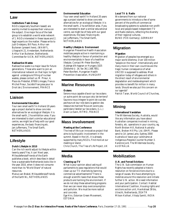### **Law**

### **Institutions Task-Group**

NGOs (especially Southern based) are warmly invited to express their vienus on the subject. One major focus of the task group is to establish a world wide network of 1. NGOs interested in these issues and 2. legal experts on the matter. Please write to Judi Ondejans, Bill Pace, Arthur van Buitenen (present here), (WAWF), Liliegracht 21, Amsterdam, Netherlands Arthur Van Buitenen, Netherlands Committee for IUCN, NETHERLANDS

### **Radioactive Wastes**

Radioactive waste is a major issue for future generations. Those who want to join an international network on that topic to fight against underground filling of nuclear wastes, please contact us: M. Prieur, 4, Place du Présidial, 87000 Limoges, France Michel Prieur, Société Française pour le Droit de L'Environnement, FRANCE

# **Liaison**

### **Environmental Education**

Your own small earth? In Holland 20 years ago a project started to show concrete alternatives for an ecological lifestyle: it is the small earth, 2 ha exhibition area. if you are interested to start a similar educational centre, we might be of help with our good experiences, the basic financing etc. Jan Juffermans, The Small Earth, NETHERLANDS

# **Lifestyle**

### **Dutch Lifestyle in 2010**

Can the rich world adjust its lifestyle within twenty years? Yes, it can! Next year, Milieudefensie/Friends of the Earth publishes a book, which describes in detail how a sustainable Netherlands looks like in the year 2010, when it does not consume more than its "World Share" of natural resources.

Manus van Brakel, Milieudefensie/Friends of the Earth NL, NETHERLANDS

### **Environmental Education**

Your own small earth? In Holland 20 years ago a project started to show concrete alternatives for an ecological lifestyle: it is the small earth, 2 ha exhibition area. if you are interested to start a similar educational centre, we might be of help with our good experiences, the basic financing etc. Jan Juffermans, The Small Earth, **NETHERLANDS** 

### **Healthy Lifestyle & Environment**

Hungarian Preventive Health Association mobilizes people active in maintaining a healthy lifestyle in favour of protection and environmentalists in favor of a healthier lifestyle. Contact Mr Peter Bonifert, Auberge d'Artagnan or Hungary 1025 Zöldlomb U. 16. fax 36.1.168.7851. Peter Bonifert, Hungarian Health Prevention Association, HUNGARY

# **Marine Resources**

### **Océans**

Serons-nous capable d'avoir sur les océans un autre point de vue que celui de terriens? Saurons-nous integrer le point de vue des pecheurs et leur role dans la gestion des ressources marines? Nous en avons peu parlé dans l'atelier sur les océans. (L.L.) Alain Le Sann, RITMO, FRANCE

# **Mass involvement**

### **Meeting at the Conference**

The tree of life is an innovative project that aims to build public involvement in the summit. Based in the UK, it is already supported by many NGOs. Find more at our meeting or stand.

Chris Church, The Tree of Life Project, UK

# **Media**

### **Cleaning up TV**

What is your opinion about asking all parliaments to pass regulations that would clean up our TV channels by banning commercial advertisements? There is enough scientific basis that shows these products are harming the environment. If we do not stop these advertising programs then we can never stop overconsumption and pollution. We must be more radical and concrete.

Ege Hirv, Estonian Green Movement, **ESTONIA** 

### **Local TV & Radio**

We demand from our national governments to introduce a fee of some percent of the profits of commercial broadcasting systems to subsidize non-profit local and people based independent TV and Radio stations, reflecting the diversity of their regional cultures. BUND (FOE-Germany), GERMANY

# **Migration**

### **Migration**

Migration of peoples has emerged as a major world dilemma. Over 100 million "people on the move". Internationally and many more in their own countries are the tragic human consequence of what UNCED is supposed to address. Most migration today of refugees and others in the direct result of environmental degradation and maldevelopment which provides no benefit for million in many lands. Should we also put this concern on our agenda?

Patrick Taran, World Council of Churches,

# **Mining**

### **International Vandalism**

The Wilderness Society, Australia, would like any information you have about Australian companies involved in mining , forestry, etc. operations in your country, eg. North Broken Hill, National Australia Bank, Broken Hill Pty. Ltd. (BHP). Please send to 1A James Lane, Sydney 2000 Australia or leave your card/name at Indigenous Peoples Counter Number 3. Karenne Jurd, The Wilderness Soceity, AUSTRALIA

# **Mobilization**

### **U.N. and Forced Evictions**

The U.N. Sub-commission on Human Rights has recently adopted a historic resolution on forced evictions due to a range of causes. We have attempting to mobilize around this resolution and initiate further U.N. action. We need information and your participation. Contact: Habitat International Coalition, Housing rights and evictions action unit, Havikstraat 38 bis, Utrecht, Netherlands, 3514 TR Miloon Kothari, Vikalp Samiti, INDIA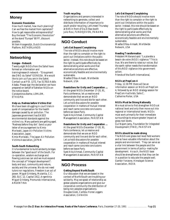# **Money**

### **Economic Revolution**

How much market, how much planning? Can we free the market from capitalism? How to get responsible entreprenership? Buy the book "The Economic Revolution" at the stand "Europe" 80 FF, discount possible.

Willem Hoogendijk, Dutch Environemntal Platform, NETHERLANDS

# **Networking**

### **Gongsa - Network**

Twenty eight NGOs from the Sahel have formed an information and training/research network - "Groupment des ONG du Sahel" GONGSA. We would like to join us if you are in the Sahel. Contact us at P.B. 1272, Fax 517810 Addis Ababa. Please sign the declaration we have prepared on behalf of Sahelian NGOs on the notice board. Constantinos Berhe, LEMLEM, **ETHIOPIA** 

### **Help us. Redress before Victims Die!**

We have been struggling in court trials in quest of compensation for the health damage caused by air pollution. The Japanese government has EASED environmental standards against the victims' cry. Many patients are getting aged. "Redness before they die". Send us your letter of encouragement to Kimio Moriwaki, Japan Air Pollution Victims Association, Japan. Kimio Moriwaki, The Japan Air Pollution Victims Association, JAPAN

### **South-South Networking**

It is fundamental to build solidarity bridges between the "good souls" of the South. For co-operation, wisdom exchange and flowing jusice we can and we must expand the concept of "integral development": body and soul, community and nature, society and the universe. We do not need tutors nor regulations. Freedom is an act of power. Miguel Grinberg, Mutantia, C.C. 260, SUC 12, Capital 1412, Argentinia Miguel Grinberg, Promundo Internacional, ARGENTINA

### **Youth recycling**

Organizations and persons interested in networking to generate, collect and distribute information of importance to youth and/or recycling. Let's meet Thursday at 8:45 in front of Da Zi Bao booth Julio Rovi, FUNDEJOVEN, PANAMA

# **NGO Conduct**

### **Let's Get Beyond Complaining**

The role of NGOs should involve more than the right to complain or the right to point out limitations within the public sector. Instead, this role should be based on the right to participate effectively by demonstrating what works and that alternative solutions are effective, economically feasible and environmentally sustainable.

Waafas Ofosu-Amaah, Worldwide Network, USA

### **Resolutions for Unity and Cooperation ...**

At the great NGOs December 17-20, 91, Paris conference, let us resolve and demonstrate that we are an NGO community and live and die for each other. Let us hold discussions for possible cooperation in matters of mutual interest and reach some concrete conclusions before we leave Paris. Syed Atiq Ahmad, Community Capital Management Association, PAKISTAN

### **Resolutions for Unity and Cooperation ...**

At the great NGOs December 17-20, 91, Paris conference, let us resolve and demonstrate that we are an NGO community and live and die for each other. Let us hold discussions for possible cooperation in matters of mutual interest and reach some concrete conclusions before we leave Paris. Syed Atiq Ahmad, Community Capital Management Association, PAKISTAN

# **NGO Process**

### **Getting Beyond North/South**

Our discussion that we are based in the context of North/South are troubling our solidarity. May we speak of relationship as global peoples organizations and give our corporative community the distribution of being non-peoples organizations. Douglas Gook, Caribou Horse Loggers Association, CANADA

### **Let's Get Beyond Complaining**

The role of NGOs should involve more than the right to complain or the right to point out limitations within the public sector. Instead, this role should be based on the right to participate effectively by demonstrating what works and that alternative solutions are effective, economically feasible and environmentally sustainable.

Waafas Ofosu-Amaah, Worldwide Network, USA

### **Needing Transformation**

Président Mitterand said: "La planète a besoin de votre (NGO) vigilence." This is true. We are there to raise our voices. But the earth rather needs the transformation of this NGO vigilance into government action.

Friends of the Earth International,

### **NGOs at PrepCom 4**

Friday, 12.30 PM there will be an information session on NGOs at PrepCom 4, followed by an NGO strategy session for PrepCom 4 activists. Salle C. Catherine Porter, USA

### **NGOs Must be Strong Nationally**

We must strive to first strengthen NGOs at national level and only then move out into regional or international levels. NGOs must work primarily for their immediate surroundings to ensure greater impact at grass-root levels. Gul Najam Jamy, Foundation for Integrated Development (FIND), PAKISTAN

### **NGOs should be made strong**

The NGOs are grass-root level field workers and so have valuable information about the people and environment. They can serve as a vital link between the people and the government in terms of policy- making for development. As such, the NGO base should be strengthened so that they can be in a position to educate the people well. Gambir Yonzone, Himalayan Science Association, INDIA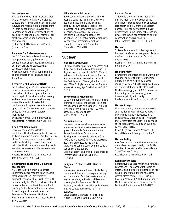### **Our designation**

The term nongovernmental organization (NGO) conveys nothing of the vitality, struggle and richness of spirit our efforts for survival and reconstruction proceed from. In India we call ourselves 'Svechhaka Sancathana' or voluntary associations of people as citizens and social persons. I call for the recognition and honouring of our true vocation.

Kishore Sant, Ubeshwar Vikas Mandal (UVM), INDIA

### **Relations ONG-Gouvernements**

Les ONG ont besoin d'être écoutées par leur gouvernement, qui souvent les écoutent avec un sourire, qui sous entend qu'ils ont des taches beaucoup plus sérieuses et plus graves. Khedija Arfaoui, Association Feminine pour la protection de la nature et l'en, TUNISIA

### **Resource Mobilisation for NGOs**

For fund raising NGOs should concentrate more on business ventures amongst themselves. Business opportunities in import, agriculture, stock market, leasing and service sectors are available every where. Donors should extend short-, medium- and long-term loans for such opportunities. Governments must remove policy barriers to NGOs resource mobilisation.

Syed Atiq Ahmad, Community Capital Management Association, PAKISTAN

### **The Resolutions' Boom**

If each of the workshops tabled 5 resolutions, the final plenary should discuss 110 documents in 3,5 hours. So, the success of the Paris conference is related to the participants' ability to select their very priorities. It will be a very interesting test to see whether we are actually more concrete than governments.

Roberto Smeraldi, NGO International Steering Committee, ITALY

### **Understanding Economic & Financial Mechanisms**

NGOs should train their members to understand better economic and financial mechanisms of their governments; financial/economic choices reflected in the national budgets. We NGOs have political power (votes and lobbies), that we should use fully for implementation of our beliefs. Alice Hodgson & Marie Kranendonk, Femmes et Changements/National Environmental Forum, Holland, FRANCE & HOLLAND

### **What do you think about?**

Every country has to try to get their own people around the table, with their own national dishes (politicians, business people, city dwellers, rural people, eco movement and enthusiasts) with deep love for their own country. Try to solve ecological problems with respect for neighbors. So if we solve national problems, we can solve international problems. Ludmila van der Marel, Clean Air Foundation, POLAND

# **Nuclear**

### **Anti-Nuclear Network**

The meeting took place on Wednesday and it was decided to hold a colloquium in Rio de Janeiro at the time of UNCED. We wish to link all activists from America, Europe, Asia New Zealand, Australia, the Pacific, the Caribbean etc. Please get in touch with us at "The Ecologist" stand, ask for Barbara. Miguel Grinberg, Bye Bye Nukes, WORLD WIDE

### **Environmental Friendliness**

So called "Environmentally Friendly" means of transport such as trains used to come to Paris depend upon nuclear power. What is "Environmental Friendliness"? - A term particularly open to abuse? John Garlick, FRANCE

### **Essais Nucléaires**

Les essais nucléaires, et le commerce des armes doivent être considérés comme une grave pollution de l'environment et un danger immédiat et futur pour le development. Les premiers doivent être sévérement empêché, la revente successive des armes démodées perme tardes catastrophes comme celles du Liberia, de la Somalie et d'autres pays. Gisele Noublanche, Ligue Internationale de Femmes pour la Paix et la Liberté, FRANCE

### **Indigenous Nations and the Nuclear Chain**

Native people around the world affected by Uranium mining, atomic weapons testing and the storage of nuclear waste are asked to give testimony at the World Uranium Hearing held in September 1992 in Salzburg, Austria. Information and contacts are appreciated at the booth of "The Ecologist". Claus Biegert & Barbara Pecarich, The

World Uranium Hearing, GERMANY

### **Let's not forget**

This conference, in France, should not finish without a firm rejection of the aggressive french export policy of nuclear technology to a.o. Central and Eastern Europe. This policy interferes in a very negative way in the energy debates taking place, that should concentrate on energy conservation and renewables! John Hontelez, FOEI, NETHERLANDS

### **Nuclear**

This conference must protest against all forms of transfer of nuclear power plants in the South. Put an end to all forms of nuclear tests. Kocherry Thomas, National Fisherman's Forum, INDIA

### **Nuclear Energy**

Brandishing the threat of global warming in favour of nuclear energy, its worldwide diffusion is being pushed by nuclear industry. A fatal risk is thus replaced by an even more fatal one, further feeding te Northern energy glut. A NGO resolution for phasing out nuclear energy must therefore get highest priority. Freda Meissner Blau, Ecoropa, AUSTRIA

### **Nuclear Energy**

Uranium mining, atomic weapons testing and the dumping of radioactive waste is threatening indigenous peoples on all continents. A video entitled "The Death that Creeps from the Earth" will be shown at Salle Jean Bertin, 12:00 and 17:00 on Wednesday, 18 Dec.

Claus Biegert & Barbara Pecarich, The World Uranium Hearing, GERMANY

### **Nuclear testing**

Ask France for an immediate moratorium on nuclear testing and to sign the Partial Test Ban Treaty to be able to negotiate a Total Test Ban Treaty Katia Kanas, Greenpeace, FRANCE

### **Radioactive Wastes**

Radioactive waste is a major issue for future generations. Those who want to join an international network on that topic to fight against underground filling of nuclear wastes, please contact us: M. Prieur, 4, Place du Présidial, 87000 Limoges, France Michel Prieur, Société Française pour le Droit de L'Environnement, FRANCE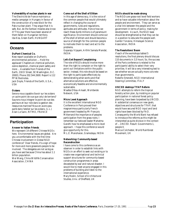### **Vulnerability of nuclear plants in war**

The Electricité de France maintains a media campaign in Hungary in favour of the construction of a new block for the Paks nuclear plant. They argue that it is safe. But, do the Serbian missiles also know it? This year there have been several of them fallen on Hungarian territory. Ida Kiss, Green Earth, HUNGARY

### **Oceans**

### **DuPont Chemical Co.**

New report available on DuPont's environmental pollution ... Hold the applause! Chapters on chemical pollution, ozone depletion, chemical plant safety and more ... Available from Friends of the Earth, 218 D Street, SE Washington, D.C. 20003, Phone 202.544.2600. Report is 112 PP W/footnotes.

Jack Doyle, Friends of the Earth, U.S.A., USA

### **Océans**

Serons-nous capable d'avoir sur les océans un autre point de vue que celui de terriens? Saurons-nous integrer le point de vue des pecheurs et leur role dans la gestion des ressources marines? Nous en avons peu parlé dans l'atelier sur les océans. (L.L.) Alain Le Sann, RITMO, FRANCE

# **Participation**

### **Answer to Italian Friends**

We represent 14 different Chinese NGOs here. Environmental issues are global. Are you uncomfortable with the first-time Chinese involvement in Global NGO conference? Dear friends, it's a sign of hope for more and more grassroots people to be involved. The delegates are not as big as you have said because China has about 1.1 billion population.

Wei Wang, China Wildlife Conservation Association, CHINA

### **Come out of the Shell of Elitism**

In this age of democracy, it is the voice of the common people that would ultimately reflect in changing the course of governments, rules and regulations, aptitudes and attitudes. Hence how we reach these dumb millions is of paramount significance. Environment should come out of the shell of elitism and should become a source of strength for the common people to motivate them to react and act to the problems.

Goparaju Vijayam, Arthik Samata Mandal, INDIA

### **Let's Get Beyond Complaining**

The role of NGOs should involve more than the right to complain or the right to point out limitations within the public sector. Instead, this role should be based on the right to participate effectively by demonstrating what works and that alternative solutions are effective, economically feasible and environmentally sustainable.

Waafas Ofosu-Amaah, Worldwide Network, USA

### **Micro Level Approach**

It is the excellent international NGO Conference in Paris proved their magnanimous particularly French government headed by Mr François Mitterrand the importance of peoples participation from the grass-roots. I remember our beloved leader Mahatma Gandhi how he emphasised a micro level approach. I hope this conference would give opportunity for this. M.L.E. Manoharan, Gramodaya, INDIA

### **Networking: Community-based Reconstruction**

I have come to this conference as an observer in order to establish links with NGOs in an effort to seek out existing or to create new organisational and technical support structures for community-based construction programmes in areas devastated by war and natural disaster. I would like to meet anyone engaged in this problems of building and listen to the international experience. Mary Roslin, School of Architectural Studies, Univ. of Sheffield, UK

### **NGOs should be made strong**

The NGOs are grass-root level field workers and so have valuable information about the people and environment. They can serve as a vital link between the people and the government in terms of policy- making for development. As such, the NGO base should be strengthened so that they can be in a position to educate the people well. Gambir Yonzone, Himalayan Science Association, INDIA

### **The Resolutions' Boom**

If each of the workshops tabled 5 resolutions, the final plenary should discuss 110 documents in 3,5 hours. So, the success of the Paris conference is related to the participants' ability to select their very priorities. It will be a very interesting test to see whether we are actually more concrete than governments. Roberto Smeraldi, NGO International

Steering Committee, ITALY

### **UNCED destroys TFAP Reform**

NGO attempts to reform the tropical forestry action plan, by insisting on popular participation in national forest policy planning, have been torpedoed by UNCED. A substantial consensus on new goals, objectives and structures for TFAP, that would have secured NGO input and land rights have been blocked by FAO. Consequently the World Bank has refused to introduce the reforms as this might be interpreted as quite divisive in the context of ... UNCED. Result: Governments 1, people 0.

Marcus Colchester, World Rainforest Movement, UK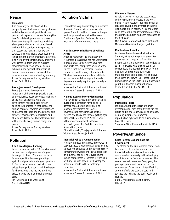# **Peace**

### **Humanity**

The humanity needs, above all, the prosperity free of all needs, poverty, disease and disaster, not at all possible without peace, that depends on justice, forming the base for all development and progress. Emotional tranquillity and ecstasy bring about peace which can not be achieved without living comfort or the prospect in the respect the humanitarian welfare services are doing a lot, a great deal more. it is high time that the humanitarian services. The world over be meticulously knit into a well spread uniform unit, to exercise maximal influence on general human behaviour and sympathy for others, at human relations, joined to face all the miseries and worries confronting humanity. Ansar Burney, Ansar Burney Welfare Trust, PAKISTAN

### **Peace, Justice and Development**

Peace, justice and development ingredients of the emerging world order. Without justice peace becomes a nightmare or the least of a reverie while the development rests on peace further opening into prosperity, that shapes the human charecter towards better relations and human attitudes and the pathetic grip for better social order co-operation and filial bonds. Globe needs development but with justice to every human beings and peace.

Ansar Burney, Ansar Burney Welfare Trust, PAKISTAN

# **Pollution**

### **The Prices/Organic Farming**

False competition. After 20 years bottom of development and promotion of organic farming in Holland. We stress the fact of false competition between polluting agricultural products and organic products. A Dutch report learned that with true prices the organic products will be cheaper for the customer and the society. True prices include social and environmental costs.

Jan Juffermans, The Small Earth, NETHERLANDS

# **Pollution Victims**

I could learn very similar story to Minamata disease in Colombia from a person who speaks Spanish. In this conference, I regret workshops were held divided between English and Spanish. Both people should exchange information much more.

### **Health Survey: Inhabitants of Polluted Areas**

After 35 years from the first discovery, Minamata disease issue has not yet finished in Japan. Over 2000 victims have filed lawsuits to seek compensation. One of the causes is that the Government has not conducted health surveys of inhabitants. The health research of whole inhabitants and environmental surveys at the early stage are sincerely required, particularly in Amazon.

Mie Asaoka, National Alliance Victims of Minamata Disease & Lawyers, JAPAN

### **Help us. Redress before Victims Die!**

We have been struggling in court trials in quest of compensation for the health damage caused by air pollution. The Japanese government has EASED environmental standards against the victims' cry. Many patients are getting aged. "Redness before they die". Send us your letter of encouragement to Kimio Moriwaki, Japan Air Pollution Victims Association, Japan. Kimio Moriwaki, The Japan Air Pollution

Victims Association, JAPAN

### **Industrial Policy & Contamination**

While Minamata disease was discovered in 1956 Japanese Government allowed a china company to continue to dischange mercury contaminated wastes until 1968 because of its industrial policy. The Governement should compensate Minamata victims who are filing lawsuits now, as well as stop the pollution exports to the developing countries.

Mie Asaoka, National Alliance Victims of Minamata Disease & Lawyers, JAPAN

### **Minamata Disease**

Whole history of Minamata case, caused with organic mercury waste is the worst model. As the result of industrial policy of Japanese government, over ten thousand victims are still in health. Also, the whole costs are ten thousands victims greater than those if the pollution had been prevented at the first stage.

Mie Asaoka, National Alliance Victims of Minamata Disease & Lawyers, JAPAN

### **Multinational Liability**

While we discuss issues allied to Earth Summit, let us not forget that even after seven years of struggle, half a million Bhopal gas victims have benn denied justice so far. In a world where globalisation of ecenomies is the new religion, what form of liabilities and responsibilities must multinationals work under? Kill and have their share prices swell up? Please insist on bringing this on the Earth Summit agenda if you think Bhopal's must not happen. Vinod Raina, EKLAVYA, INDIA

# **Population**

### **Population Taboo**

It's dismaying that the issue of human overpopulation, manifest differently in the North and in the South, seems to be taboo. A strong guarantee of women's reproductive rights would be a good way to break this taboo.

Stephanie Mills, Elmwood Institute, USA

# **Poverty/Affluence**

### **Close Poverty Gap and Save the Environment**

The attack on the environment comes from two sides. First, is pollution from the industrialised countries, and second is depletion due to poverty in the developing world. While the first can be reversed, the second seems irreversible. Every year, the poor gets poorer and the attack on the environment for survival is intensified. No amount of effort to save the earth will succeed the rich and the poor locally and globally.

Luke Onyekakeyah, Earth Search, NIGERIA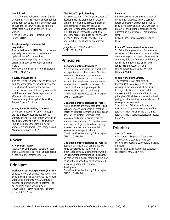### **Gandhi said**

"It is a fundamental law of nature", Gandhi wrote that "nature produces enough for our wants from day to day and if everybody took enough for their own needs and nothing more there would be no poverty in this world."

Krishna Murti Gupta, Himalaya Seva Sangh, INDIA

### **People, poverty, environmental degradation**

The central issue for UNCED is the people - poverty - environmental degradation cycle. All our efforts should be concentrated on getting this message across to all, specially those of us in the North.

Fergus O'Gorman, Irish Wildlife Federation (IWF), IRELAND

### **Poverty and Affluence**

The poverty of the poor is not as dangerous polluter of the globe as the affluence of the rich which is the cause of the death of rivers, oceans, trees, children, governments and the ozone layer. Poverty pollutes but affluence pollutes absolutely. Okyeame Ampadu-Agyei, Villages Pilot Project Ghana, GHANA

### **Work, Global Warming, Drudgery**

One more injustice: not only rich people are the biggest consumers but also, as workers, they use a lot of energy while poor people are working with a lot of drudgery. Should we not change also our way of work? More hand work, Less energy wasted. Marinella Corregia, ITALY

# **Power**

### **A view from Japan?**

Japan's view of the world (corporate Japan that is). America is our field! Enough said?! Alistair Smith, Farmer's Link, UK

# **Principes**

### **Declaration of Interdependence (Part IV)**

We also know that Life is all we have. The Song of the Earth's suffering is a last minute wake-up callfor our survival. Our future depends on our waking to this alarm. For our children's sake, we must do it. David Suzuki, (submitted by D.F. Murphy CUSO), CANADA

### **The Prices/Organic Farming**

False competition. After 20 years bottom of development and promotion of organic farming in Holland. We stress the fact of false competition between polluting agricultural products and organic products. A Dutch report learned that with true prices the organic products will be cheaper for the customer and the society. True prices include social and environmental costs.

Jan Juffermans, The Small Earth, NETHERLANDS

# **Principles**

### **Declaration of Interdependence**

We are animals who share the planet with perhaps 30 million other species. We share a common history and now a common crisis, the collapse of the clean air, water and soil. And we share a common future yet unwritten. Linked to us in a web of kinship, all living indigenous people remember this ... (to be continued) David Suzuki, (submitted by D.F. Murphy CUSO), CANADA

### **Declaration of Interdependence (Part II)**

All living beings are interdependent ... Just as physics has taught us that all creation is energy and matter interacting in an elegant dance of life, biology informs us that biological and cultural diversity are the foundation of stability ... Certain biological principles, ecologically based and morally inspired, must become fundamental elements of a new politics hope. David Suzuki, (submitted by D.F. Murphy CUSO), CANADA

### **Declaration of Interdependence (Part III)**

Economic activities that benefit the few while compromising the biological inheritance of many are inherently wrong. Environmental degradation is, in essence, an erosion of biological capital and the long value of the expenditure must be factored into any equations of economic development. David Suzuki, (submitted by D.F. Murphy

CUSO), CANADA

### **Feminism**

I am concerned that some declarations in the Women's Agenda imply a push for forced androgyny, destruction of native cultural roles for women (what we wish to preserve), and put more emphasis on sex quotas than quality ideas. (I am a women, also)

Leslee Kulba, Citizen Action Alliance, USA

### **From a Woman to Another Woman**

To Bella: If our generation of women can act as we do is because your generation has done a very good job - don't blame us to be as we are, different from you, and thank you for all the minds you had open - with tenderness and respect. Muriel Muriel Saragoussi, Brazilian Forum of NGOs, BRASIL

### **World Agriculture Strategy**

The representatives of the Polish Independent Ecological Movements working in the framework of the Social Ecological Institute consider that it is necessary to introduce alterations to the principles of the international agricultural policy, which should become an element of ecological development. The position of the Social Ecological Institute for "Agriculture Workshop" has Jolanta Pawlak (Poland) and Da Zi Bao. Jolanta Pawlak, Social Ecological Institute, POLAND

# **Priorités**

### **Stop La Guerre**

Aidez-nous à "Stopper la Guerre" en Yougoslavie. C'est une priorité pour l'écologie européenne et mondiale. Faisons un appel! Mihail Tokarev, Mouvement Ecologique Macédoine, YUGOSLAVIA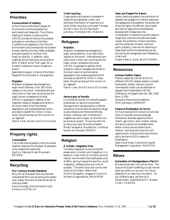# **Priorities**

### **Announcement of meeting**

of the Alliance of Northern people for Environment and Development for participants and observers. The Alliance meeting on Eastern Europe and the UNCED process will discuss the purpose and ways to contribute to the Paris Conference and peoples Action Plan for Environment and Development for Eastern Europe, identify priorities, lobby strategies and participation to the New York PrepCom and Rio. In addition, daily meetings will be held every morning from 9AM to 10AM at the "Hall Laser" at La Villette Conference Center (Observers Room)

Jeannette Kingham, Alliance of Northern People for Environment & Development,

### **Migration**

Migration of peoples has emerged as a major world dilemma. Over 100 million "people on the move". Internationally and many more in their own countries are the tragic human consequence of what UNCED is supposed to address. Most migration today of refugees and others in the direct result of environmental degradation and maldevelopment which provides no benefit for million in many lands. Should we also put this concern on our agenda?

Patrick Taran, World Council of Churches,

# **Property rights**

### **Consumption**

The richest among people is the one whose material needs are the smallest. Moderation is the measure for plenitude. Ege Hirv, Estonian Green Movement, ESTONIA

# **Recycling**

### **Our Common Double Standards**

Why isn't all the paper here recycled and unbleached? Why are we eating with plastic cups, plates, forks and knives? What sort of roots are these? Danny Kennedy, Emvironmental Youth Alliance, AUSTRALIA

### **Youth recycling**

Organizations and persons interested in networking to generate, collect and distribute information of importance to youth and/or recycling. Let's meet Thursday at 8:45 in front of Da Zi Bao booth Julio Rovi, FUNDEJOVEN, PANAMA

# **Refugees**

### **Migration**

Migration of peoples has emerged as a major world dilemma. Over 100 million "people on the move". Internationally and many more in their own countries are the tragic human consequence of what UNCED is supposed to address. Most migration today of refugees and others in the direct result of environmental degradation and maldevelopment which provides no benefit for million in many lands. Should we also put this concern on our agenda?

Patrick Taran, World Council of Churches,

### **Secours pour la Somalie**

Le Comité de Soutien à la Somalie appelle à demander un secours humanitaire d'evergure pour les populations civiles de Somalie en priorité dans les zones de refuge où des certaines de milliers de femmes, enfants, vieillards, sont victimes de la tragédie que sulit le pays; en priorité là où les armes se tausent. Et que tout soit mis en peure pour que les armes se taisent. Mmes Tamayaré & Noublanche, Comité de Soutien à la Somalie, FRANCE

# **Religion**

### **A Holistic, Integrative View**

The Baha'i approach to environmental preservation is holistic and integrative. It is based on a new vision for humanity and the natural environment that emphasizes unity of effort, spiritual values like sacrifice, social integration, selfless action and unity of purpose. "The earth is but one country and mankind its citizens." Baha'u'llah Mullai Vithirapathy, Singapore Council of Women's Organizations, SINGAPORE

### **Islam and Respect for Nature**

Islamic teaching support the prohibition of wasteful extravagance of natural resources, the safeguards of ecosystems, the protection of animal rights, the efficient use of water and land for agricultural development, development of dead land, the incorporation of systems to protect pasture, range land, areas around wells and water causes; the protection of fauna and flora, and the protection of public land and public property. If we are not adhering to these basic and the fundamentals we are only acting as transgressors and disobeying Allah's will.

Hesam Addin A. Joma, SAUDI ARABIA

# **Resources**

### **German Position Papers**

Position papers by German NGOs on different UNCED related subjects (climate, biodiversity, forests, resource use and international trade) can be obtained on request from Projektstelle UNCED, DNR/Bund, Königswinterer Str. 665, 5300 Bonn 3, FRG Deutscher Naturschutzring/Bund (FOE-Germany), GERMANY

### **Resource Mobilisation for NGOs**

For fund raising NGOs should concentrate more on business ventures amongst themselves. Business opportunities in import, agriculture, stock market, leasing and service sectors are available every where. Donors should extend short-, medium- and long-term loans for such opportunities. Governments must remove policy barriers to NGOs resource mobilisation.

Syed Atiq Ahmad, Community Capital Management Association, PAKISTAN

# **Rêves**

### **Declaration of Interdependence (Part IV)**

We also know that Life is all we have. The Song of the Earth's suffering is a last minute wake-up callfor our survival. Our future depends on our waking to this alarm. For our children's sake, we must do it. David Suzuki, (submitted by D.F. Murphy CUSO), CANADA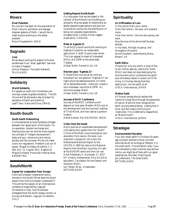# **Rivers**

### **River Pollution**

My concern has been for the population of River Yamuna, sanitation and sewage disposal systems of Delhi. I would like to meet anyone working on the water problem.

Mukul Priyadarshini, INDIA

# **Sagrado**

### **Love**

What about putting the subject of human tenderness in our "wise" agendas? See how to make it happen!

Johnny Pleasure, The Joyful Network, FALKLANDS

# **Solidarity**

### **World Solidarity**

All people on earth will immobilize cars one day a week as global solidarity. The 5th of June will be declared a day of prayer for salvation of Earth and mankind. Josef Tamir, Haim and Eviva, ISRAEL

# **South-South**

### **South-South Networking**

It is fundamental to build solidarity bridges between the "good souls" of the South. For co-operation, wisdom exchange and flowing jusice we can and we must expand the concept of "integral development": body and soul, community and nature, society and the universe. We do not need tutors nor regulations. Freedom is an act of power. Miguel Grinberg, Mutantia, C.C. 260, SUC 12, Capital 1412, Argentinia Miguel Grinberg, Promundo Internacional, ARGENTINA

# **South/North**

### **Appeal for cooperation from Europe**

How has European cooperation policy worked in the South? What does the South expect from future European cooperation? This will be the subject of an international conference organized by Lega per l'Ambiente in Italy, next November. Delegates from the South please contact us. Giovanna Melandri, Lega per l'Ambiente, ITALY

### **Getting Beyond North/South**

Our discussion that we are based in the context of North/South are troubling our solidarity. May we speak of relationship as global peoples organizations and give our corporative community the distribution of being non-peoples organizations. Douglas Gook, Caribou Horse Loggers Association, CANADA

### **Meet on Agenda 21**

To all NGOs South and North working on Agenda 21 position on sustainable agriculture. A draft 12-point plan exists. This is an appeal to meet all interested NGOs, at 6.15PM at the press desk, Tuesday. Alistair Smith, Farmer's Link, UK

### **Réunion pour "Agenda 21"**

A toutes ONGs du sud et du nord qui travaillent sur une position "Agenda 21" sur l'agriculture durable/autonome. Un texte de 12 demandes existe - à discuter. Appel à tous interesses: rencontre 6.15PM. Au rencontre presse, Mardi Alistair Smith, Farmer's Link, UK

### **Success of NGO Conference**

Success of the NGO Conference will depend on how open Western NGOs are to the development and environment realities of Third World, and how radical a position is taken.

Ashish Kothari, KALPAVRIKSH, INDIA

### **Vision from the South**

Dutch policies on sustainable development criticized by four guests from the "South". Critical of Northern overconsumption and alienation from nature, the book is an important companion not onlyto the Netherlands National Report to the UNCED in 1992 but also to the National Reports from Northern countries. On sale at the EUROPE stand and from Ian van Arkel Publishers, A. Numkade, 17, 3572 KP, Utrecht, Netherlands. Price US \$10 or equvalent. Concession for the Eastern and Southern NGOs. Ian Tellam, Wise - Amsterdam,

NETHERLANDS

# **Spirituality**

### **An Affirmation of Love**

In the centre of all Love I stand. From that centre I, the soul, will outward move. From that centre I, the one who serves, will work.

May the love of the divine Self be shed abroad

In my heart, through my group, and throughout the world.

World Goodwill, (submitted by Maria Brown), UK

### **Earth Ethics**

If mankind, only one within a total of five to ten million species, rejects the "Earth Ethics" and does not stop destroying the environment which constitutes the earth and ultimately makes it a place not fit for living, it is human beings that face destruction, not the earth at all. OISCA International, JAPAN

### **Mother Earth**

All human beings should realize that mankind is kept alive through the greatness of nature. Mankind must recognize the earth as a processing being - a being that is alive, and still today continuing its creativities. This is referred to respectfully as "Mother Earth".

OISCA International, JAPAN

# **Stratégie**

### **Environmental Education**

Your own small earth? In Holland 20 years ago a project started to show concrete alternatives for an ecological lifestyle: it is the small earth, 2 ha exhibition area. if you are interested to start a similar educational centre, we might be of help with our good experiences, the basic financing etc. Jan Juffermans, The Small Earth, NETHERLANDS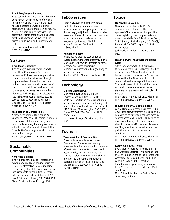### **The Prices/Organic Farming**

False competition. After 20 years bottom of development and promotion of organic farming in Holland. We stress the fact of false competition between polluting agricultural products and organic products. A Dutch report learned that with true prices the organic products will be cheaper for the customer and the society. True prices include social and environmental costs.

Jan Juffermans, The Small Earth, NETHERLANDS

# **Strategy**

### **Brundtland Buzzwords**

The primary surving buzzwords from the Brundtland Commission, "sustainable development", have been manipulated and co-opted beyond belief as seen through corporate advertising and rubber boned political reelection campaign speeches of the North. From Rio we need words that guarantee action, ones that cannot be hidden behind. I suggested for discussion: Justice between people - Justice between species - Justice between generations Douglas Gook, Caribou Horse Loggers Association, CANADA

### **Mobilisation of General Public**

Amendment proposed to Agenda Ya Wananchi. "We as NGOs commit ourselves to the mass mobilisation of the general public in demanding that our governments act in Rio and afterwards in line with this Agenda. NGOs acting alone will produce only limited change." Tony Dolan, COMLAMH, IRELAND

# **Sustainable Communities**

### **Anti-Road Building**

The Alliance for a Paving Moratorium is fighting new roads and parking lots in the USA. The alternative to more roads is a restructuring of wasteful patterns of living into sustainable communities. For more information, contact the Alliance at P.O. Box 8558, Fredericksburg, VA 22404 USA Stuart Chaitkin, Urban Ecology, USA

# **Taboo issues**

### **From a Woman to Another Woman**

To Bella: If our generation of women can act as we do is because your generation has done a very good job - don't blame us to be as we are, different from you, and thank you for all the minds you had open - with tenderness and respect. Muriel Muriel Saragoussi, Brazilian Forum of NGOs, BRASIL

### **Population Taboo**

It's dismaying that the issue of human overpopulation, manifest differently in the North and in the South, seems to be taboo. A strong guarantee of women's reproductive rights would be a good way to break this taboo.

Stephanie Mills, Elmwood Institute, USA

# **Technology**

### **DuPont Chemical Co.**

New report available on DuPont's environmental pollution ... Hold the applause! Chapters on chemical pollution, ozone depletion, chemical plant safety and more ... Available from Friends of the Earth, 218 D Street, SE Washington, D.C. 20003, Phone 202.544.2600. Report is 112 PP W/footnotes.

Jack Doyle, Friends of the Earth, U.S.A., USA

# **Tourism**

### **Tourism & Local Communities**

Powerful business interests in Japan, Germany and Canada are exploring investments in tourism promoting in places of great natural and cultural beauty and peace in Asia, Africa, Latin America. Northern voluntary organisations should monitor and expose this imposition of wasteful lifestyles on local communities. Kishore Sant, Ubeshwar Vikas Mandal (UVM), INDIA

# **Toxics**

### **DuPont Chemical Co.**

New report available on DuPont's environmental pollution ... Hold the applause! Chapters on chemical pollution, ozone depletion, chemical plant safety and more ... Available from Friends of the Earth, 218 D Street, SE Washington, D.C. 20003, Phone 202.544.2600. Report is 112 PP W/footnotes.

Jack Doyle, Friends of the Earth, U.S.A., USA

### **Health Survey: Inhabitants of Polluted Areas**

After 35 years from the first discovery, Minamata disease issue has not yet finished in Japan. Over 2000 victims have filed lawsuits to seek compensation. One of the causes is that the Government has not conducted health surveys of inhabitants. The health research of whole inhabitants and environmental surveys at the early stage are sincerely required, particularly in Amazon.

Mie Asaoka, National Alliance Victims of Minamata Disease & Lawyers, JAPAN

### **Industrial Policy & Contamination**

While Minamata disease was discovered in 1956 Japanese Government allowed a china company to continue to dischange mercury contaminated wastes until 1968 because of its industrial policy. The Governement should compensate Minamata victims who are filing lawsuits now, as well as stop the pollution exports to the developing countries.

Mie Asaoka, National Alliance Victims of Minamata Disease & Lawyers, JAPAN

### **Keep your waste at home!**

Every country must be responsible for its own waste management. We demand that there should be an end to the international waste trade to Eastern Europe and Third World. Also to end the export of hazardous/waste processing technologies from Western to Eastern and Third World countries.

Mara Silina, Friends of the Earth - East / Greenway, LATVIA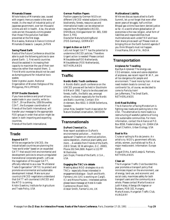### **Minamata Disease**

Whole history of Minamata case, caused with organic mercury waste is the worst model. As the result of industrial policy of Japanese government, over ten thousand victims are still in health. Also, the whole costs are ten thousands victims greater than those if the pollution had been prevented at the first stage. Mie Asaoka, National Alliance Victims of Minamata Disease & Lawyers, JAPAN

### **Saving Planet Earth**

Roots of the Future Conference should be able to push the following policies to save planet Earth: 1. First world countries should be assisted in increasing their capacity to maximize the use of their own resources rather than exploit them; 2. Third World countries should not be used as dumping ground for industrial toxic wastes

Sister Agneta Lauzon, National Organization of Women Religious of the Philippines, PHILIPPINES

### **STOP Double Standards**

If you have evidence and proof of toxic waste trade in your country, write to: CEAT, 29 rue Blanche, 1050 Bruxelles. CEAT, the European coordination of Friends of the Earth International, will transfer your message to the appropriate FOE-groups in order that action might be taken in both importing and exporting countries.

Friends of the Earth International,

# **Trade**

### **Beyond GATT**

While we organize for UNCED, the industrialized countries are planning the "new world order" based on an expanded GATT that would limit environmental and development policies to ensure unregulated transnational corporate growth. Let's use the negotiation of this super GATT, officially referred to as a new "Multilateral Trade Organization" (MTO) to protect and promote environmental and sustainable development instead. Make sure your country's UNCED negotiators understand that GATT will counteract UNCED and the MTO is coming. Kristin Dawkins, Institute for Agriculture and Trade Policy, USA

### **German Position Papers**

Position papers by German NGOs on different UNCED related subjects (climate, biodiversity, forests, resource use and international trade) can be obtained on request from Projektstelle UNCED, DNR/Bund, Königswinterer Str. 665, 5300 Bonn 3, FRG Deutscher Naturschutzring/Bund

(FOE-Germany), GERMANY

### **Urgent Action on GATT**

Let's not forget! GATT has the potential to undermine UNCED policies. Therefore: Urgent action is needed! Please contact Milieudefensie/FOE-Netherlands. Milieudefensie (FOE-Netherlands), NETHERLANDS

# **Traffic**

### **Nordic-Baltic Youth conference**

A Nordic-Baltic youth conference on the UNCED process will be held in Stockholm 6-8 March 1992. Topics to be discussed are forests, traffic, the Baltic sea, amongst others. Invitation especially for the Nordic and Baltic countries. Contact: Elin Andersson, Box 6022, S-19106 Sollentuna, Sweden

Johan Niss, Swedish Youth Association for Nature Studies/Conservation, SWEDEN

# **Transnationals**

### **DuPont Chemical Co.**

New report available on DuPont's environmental pollution ... Hold the applause! Chapters on chemical pollution, ozone depletion, chemical plant safety and more ... Available from Friends of the Earth, 218 D Street, SE Washington, D.C. 20003, Phone 202.544.2600. Report is 112 PP W/footnotes.

Jack Doyle, Friends of the Earth, U.S.A., USA

### **Engaging the TNC's in debate**

Meeting about NGO strategies vis a vis TNCs - especially those interested in engagement/dialogue - South and North. Farmers Link (UK) is working on Cargill, ICI and Rhone Poulenc. Interested parties please leave message at Hotel Arcade Cambronne (Room 542). Alistair Smith, Farmer's Link, UK

### **Multinational Liability**

While we discuss issues allied to Earth Summit, let us not forget that even after seven years of struggle, half a million Bhopal gas victims have benn denied justice so far. In a world where globalisation of ecenomies is the new religion, what form of liabilities and responsibilities must multinationals work under? Kill and have their share prices swell up? Please insist on bringing this on the Earth Summit agenda if you think Bhopal's must not happen. Vinod Raina, EKLAVYA, INDIA

# **Transportation**

### **Airplanes for Travelling**

Bye Bye Airplanes! The energy-use, CO2-emission, noise and ozone-depletion of airplanes, see recent report W.W.F., are all too dangerous for people and environment. Travel more by train. And we need modern boats to connect our continents! So, of course, we decided to come to Paris by train! Jan Juffermans, The Small Earth, **NETHERLANDS** 

### **Anti-Road Building**

The Alliance for a Paving Moratorium is fighting new roads and parking lots in the USA. The alternative to more roads is a restructuring of wasteful patterns of living into sustainable communities. For more information, contact the Alliance at P.O. Box 8558, Fredericksburg, VA 22404 USA Stuart Chaitkin, Urban Ecology, USA

### **Boat to Rio**

Cruise or sailing to Rio de Janeiro. An artist's cry. NGO's, government officials, artists, women, journalists sail to Rio. A major media event. Information: Europe stand.

August Dirks, Azart/Loesje & Partners, NETHERLANDS

### **Clean air**

The Hungarian Traffic Club founded this year promotes a transport policy that minimizes impact on the environment, use of energy, land use, and economic and social costs, maximizes safety for both transport users and the community as a whole. Please contact Marta Kovacs or Judit Halasz, Albergo d'Artagnan or Budaors, POB 102, Hungary. Marta Kovacs, Hungarian Traffic Club, HUNGARY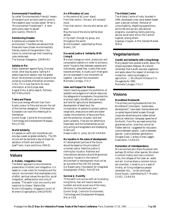### **Environmental Friendliness**

So called "Environmentally Friendly" means of transport such as trains used to come to Paris depend upon nuclear power. What is "Environmental Friendliness"? - A term particularly open to abuse? John Garlick, FRANCE

### **Reimbursing Disaster**

Airplanes are a disaster for the environment. Therefore we demand that those who have chosen environmentally friendly means of transportation (like trains) to come here get their travelling costs rembursed. The German Delegation, GERMANY

### **Sailship to Rio**

Public statement against flying. One way ticket, other way by plane. Sailing 4-5 weeks mass drum session near the global forum: 40 drummers invited on board to be joined by hundreds of Brazilian drummers in Rio. Fill in now free form for more information at the Europe desk. August Dirks, Azart/Loesje & Partners, **NETHERLANDS** 

### **Trains and Planes**

Give us an energy-efficient train from Kuala Lumpur to Paris and we join the call of the German delegation. Otherwise the Europeans can have this meeting all to themselves.

Gurmit Singh, Centre for Environment, Technology and Development Malaysia, MALAYSIA

### **World Solidarity**

All people on earth will immobilize cars one day a week as global solidarity. The 5th of June will be declared a day of prayer for salvation of Earth and mankind. Josef Tamir, Haim and Eviva, ISRAEL

# **Values**

### **A Holistic, Integrative View**

The Baha'i approach to environmental preservation is holistic and integrative. It is based on a new vision for humanity and the natural environment that emphasizes unity of effort, spiritual values like sacrifice, social integration, selfless action and unity of purpose. "The earth is but one country and mankind its citizens." Baha'u'llah Mullai Vithirapathy, Singapore Council of Women's Organizations, SINGAPORE

### **An Affirmation of Love**

In the centre of all Love I stand. From that centre I, the soul, will outward move.

From that centre I, the one who serves, will work.

May the love of the divine Self be shed abroad

In my heart, through my group, and throughout the world.

World Goodwill, (submitted by Maria Brown), UK

### **Eco-social Justice & Solidarity With Living B**

We must change our work, production and consumption patterns in order to achieve a world "injustice free (between peoples and individuals), greed-free, cruelty-free (even towards animals). Actually such three goals are not expressed in one movement all together. Lets start this movement. Marinella Corregia, ITALY

### **Islam and Respect for Nature**

Islamic teaching support the prohibition of wasteful extravagance of natural resources, the safeguards of ecosystems, the protection of animal rights, the efficient use of water and land for agricultural development, development of dead land, the incorporation of systems to protect pasture, range land, areas around wells and water causes; the protection of fauna and flora, and the protection of public land and public property. If we are not adhering to these basic and the fundamentals we are only acting as transgressors and disobeying Allah's will.

Hesam Addin A. Joma, SAUDI ARABIA

### **No injustice in the name of development**

All development policies of the future should be based on the principles of universal justice. Selective justice is nothing but injustice. National and international decisions should be governed by justice. Injustice in the name of environment or development must not be an outcome of the UNCED process. Gul Najam Jamy, Foundation for Integrated Development (FIND), PAKISTAN

### **Survival & Humility**

"If the earth is to survive with all its existing living forms, man will have to become humbler and exist as just one of the many life forms, not the dominant one." Gurmit Singh, Centre for Environment, Technology and Development Malaysia, MALAYSIA

### **The Atheist Centre**

The Atheist Centre of India, founded in 1940, developed a new value system based upon a secular outlook. Removal of untouchablility, dispelling superstitions, witchcraft and sorcery, educational programs, counselling, family planning, secular social work are on the Centre's Agenda, among others. Goparaju Vijayam, Arthik Samata Mandal, INDIA

# **Vegetarianism**

**Gandhi and Solidarity with Living Beings**

Many people here quoted Gandhi about the simple-equitable lifestyles. We should remember that Gandhi was also vegetarian and spoke about the respect of animals (no vivisection, reducing drudgery in agriculture ...). We should introduce it in the agenda for 1992. Marinella Corregia, ITALY

# **Visions**

### **Brundtland Buzzwords**

The primary surving buzzwords from the Brundtland Commission, "sustainable development", have been manipulated and co-opted beyond belief as seen through corporate advertising and rubber boned political reelection campaign speeches of the North. From Rio we need words that guarantee action, ones that cannot be hidden behind. I suggested for discussion: Justice between people - Justice between species - Justice between generations Douglas Gook, Caribou Horse Loggers Association, CANADA

### **Declaration of Interdependence**

We are animals who share the planet with perhaps 30 million other species. We share a common history and now a common crisis, the collapse of the clean air, water and soil. And we share a common future yet unwritten. Linked to us in a web of kinship, all living indigenous people remember this ... (to be continued) David Suzuki, (submitted by D.F. Murphy CUSO), CANADA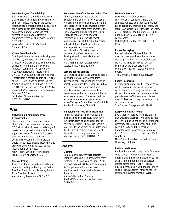### **Let's Get Beyond Complaining**

The role of NGOs should involve more than the right to complain or the right to point out limitations within the public sector. Instead, this role should be based on the right to participate effectively by demonstrating what works and that alternative solutions are effective, economically feasible and environmentally sustainable.

Waafas Ofosu-Amaah, Worldwide Network, USA

### **Vision from the South**

Dutch policies on sustainable development criticized by four guests from the "South". Critical of Northern overconsumption and alienation from nature, the book is an important companion not onlyto the Netherlands National Report to the UNCED in 1992 but also to the National Reports from Northern countries. On sale at the EUROPE stand and from Ian van Arkel Publishers, A. Numkade, 17, 3572 KP, Utrecht, Netherlands. Price US \$10 or equvalent. Concession for the Eastern and Southern NGOs. Ian Tellam, Wise - Amsterdam,

NETHERLANDS

### **War**

### **Networking: Community-based Reconstruction**

I have come to this conference as an observer in order to establish links with NGOs in an effort to seek out existing or to create new organisational and technical support structures for community-based construction programmes in areas devastated by war and natural disaster. I would like to meet anyone engaged in this problems of building and listen to the international experience. Mary Roslin, School of Architectural Studies, Univ. of Sheffield, UK

### **Nuclear testing**

Ask France for an immediate moratorium on nuclear testing and to sign the Partial Test Ban Treaty to be able to negotiate a Total Test Ban Treaty Katia Kanas, Greenpeace, FRANCE

### **Reconstruction of Settlements After War**

Thank you for your interest in the exhibition and charter for reconstruction. A meeting will be held at 6:00 p.m. in the coffee area left of Theatre Gaston Berger. We have drafted some amendments to the Citizens Action Plan to highlight issues related to the war. Working with ecological principles for settlement planning is essential if the disaster of war is not to be followed by the disaster of inappropriate or non-existent reconstruction. Working towards sustainability of settlements in the developed world is essential for the preention of war. Mary Roslin, School of Architectural

Studies, Univ. of Sheffield, UK

### **Secours pour la Somalie**

Le Comité de Soutien à la Somalie appelle à demander un secours humanitaire d'evergure pour les populations civiles de Somalie en priorité dans les zones de refuge où des certaines de milliers de femmes, enfants, vieillards, sont victimes de la tragédie que sulit le pays; en priorité là où les armes se tausent. Et que tout soit mis en peure pour que les armes se taisent. Mmes Tamayaré & Noublanche, Comité de Soutien à la Somalie, FRANCE

### **Vulnerability of nuclear plants in war**

The Electricité de France maintains a media campaign in Hungary in favour of the construction of a new block for the Paks nuclear plant. They argue that it is safe. But, do the Serbian missiles also know it? This year there have been several of them fallen on Hungarian territory. Ida Kiss, Green Earth, HUNGARY

# **Waste**

### **Déchets**

Combien de tasses, verres et assiettes "jetables" allons-nous utiliser durant cette conférence ? A mon avis, environ 12600 verres et tasses et 3400 assiettes au moins. SVP apportons notre propre tasse réutilisable afin d'être cohérents avec nos discours! Marie-Odile Junker, Cultural

Survival/Woman for a Healthy Planet, CANADA

### **DuPont Chemical Co.**

New report available on DuPont's environmental pollution ... Hold the applause! Chapters on chemical pollution, ozone depletion, chemical plant safety and more ... Available from Friends of the Earth, 218 D Street, SE Washington, D.C. 20003, Phone 202.544.2600. Report is 112 PP W/footnotes.

Jack Doyle, Friends of the Earth, U.S.A., USA

### **Excess Packaging**

Packaging is one of the activities of mankind that uses the earth's recources. Useless packaging has to be abolished, we want a sustainable breakfast! Let's all complain at the organizers of the conference - hand in resolutions in our hotels.

The German Delegation, GERMANY

### **Excess Packaging**

Printing error in message 61 - of course we want a sustainable breakfast, we do not want plastic food! Delegates: refuse plastics at the buffets - have the conference centre provide us with China cups and plates now! At least try to keep the same fork and cup for all the day. The German Delegation, GERMANY

### **Keep your waste at home!**

Every country must be responsible for its own waste management. We demand that there should be an end to the international waste trade to Eastern Europe and Third World. Also to end the export of hazardous/waste processing technologies from Western to Eastern and Third World countries. Mara Silina, Friends of the Earth - East /

Greenway, LATVIA

### **Radioactive Wastes**

Radioactive waste is a major issue for future generations. Those who want to join an international network on that topic to fight against underground filling of nuclear wastes, please contact us: M. Prieur, 4, Place du Présidial, 87000 Limoges, France Michel Prieur, Société Française pour le Droit de L'Environnement, FRANCE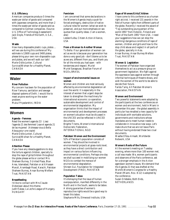### **U.S. Efficiency**

American companies produce 5 times the waste per dollar of goods sold compared with Japanese companies, and more than 2 times the waste per dollar of goods sold as compared to German companies. (Source: U.S. Office of Technology Assessment) Jack Doyle, Friends of the Earth, U.S.A., USA

### **Waste**

How many disposable plastic cups, plates ... will we use during this conference? My estimate is 12600 cups and 3400 plates, please bring your own non-disposable cups and plates, and we will walk our talk! Marie-Odile Junker, Cultural Survival/Woman for a Healthy Planet, CANADA

# **Water**

### **River Pollution**

My concern has been for the population of River Yamuna, sanitation and sewage disposal systems of Delhi. I would like to meet anyone working on the water problem.

Mukul Priyadarshini, INDIA

# **Women**

### **Agenda - Femmes**

Read the women's agenda 21! Lisez l'agenda 21 des femmes! Leye el agenda 21 de las mujeres! (Adressez-vous à Bella Abzug pour une copie) Marie-Odile Junker, Cultural Survival/Woman for a Healthy Planet, CANADA

### **Attention Please**

If you have any ideas/suggestions to stop the torture against children, specially to stop the rape of girls/children throughout the globe please write or contact Mrs Shaheen Burney, 5 United Plaza, Blue Area, Islamabad, Pakistan or at 6 Hassan Manzil, Arambagh Road, Karachi, Pakistan Shaheen Burney, Ansar Burney Welfare Trust, PAKISTAN

### **Breastfeeding**

I'd like to contact with Mrs Claude Didierjean about this theme. Judit Halasz, La Leche League of Hungary, **HUNGARY** 

### **Feminism**

I am concerned that some declarations in the Women's Agenda imply a push for forced androgyny, destruction of native cultural roles for women (what we wish to preserve), and put more emphasis on sex quotas than quality ideas. (I am a women, also)

Leslee Kulba, Citizen Action Alliance, USA

### **From a Woman to Another Woman**

To Bella: If our generation of women can act as we do is because your generation has done a very good job - don't blame us to be as we are, different from you, and thank you for all the minds you had open - with tenderness and respect. Muriel Muriel Saragoussi, Brazilian Forum of NGOs, BRASIL

### **Impact of environmental issues on women**

Women and children are most seriously affected by environmental degradation all over the world. It is especially in the interest of women that urgent steps be taken to strengthen the machinery for international economic co-operation, sustainable development and control of environmental degradation. My organisation thinks that the impact of environmental and development processes on women's situation must be dicussed in the UNCED and be reflected in UNCED documents.

Brigitte Triems, Women's International Democratic Federation, INTERNATIONAL NGO

### **Pakistani Women and the Environment**

52% of Pakistan's population consists of women. They should be involved in environmental projects at grass-roots level, as they have a direct contribution and impact on various factors influencing environmental conditions. Perhaps one day we shall succeed in mobilizing our women NGOs to combat the menace of environmental degradation. Shireen Gul, Foundation for Integrated Development (FIND), PAKISTAN

### **Population Taboo**

It's dismaying that the issue of human overpopulation, manifest differently in the North and in the South, seems to be taboo. A strong guarantee of women's reproductive rights would be a good way to break this taboo. Stephanie Mills, Elmwood Institute, USA

### **Rape of Women/Girls/Children**

I have come to this conference as a human right atcivist. I received 131 awards in the field of human rights from different parts of the globe. Recently I received the award of "Top outstanding young person of the world 1991" from Helsinki, Finland and "Man of the Earth 1991" from USA. I need your suggestions how we can stop the alarming/ dangerous conditions of rape of women, children and girls and how to the stop child abuse and neglect in all parts of the globe, specially in Asia. Ansar Burney, Ansar Burney Welfare Trust, PAKISTAN

### **Women & Legislation**

The women of Pakistan have organized themselves to act as a pressure group on government legislation. We fight against the oppressive laws against women through informal techniques of theatre shows, and wish the women of the world to be able to decide their future. Farida Tariq, All Pakistan Women's Association, PAKISTAN

### **Women and Environment**

Two powerful statements were adopted by the participants at the two conferences on women and environment, held in Miami in November this year - the global assembly in particular has renabled a new capacity for individuals with workable solutions, governments and institutions whose mandates are to meet human needs to collaborate in innovative new ways. Let's make shure that we are not leave Paris without having endorsed these two crual documents.

Waafas Ofosu-Amaah, Worldwide Network, USA

### **Women's Roots of the Future**

At the women's meeting on Tuesday evening, where more than 100 women met, a call was made: We, women participants and observers of the Paris conference, ask for a stronger emphasis in the Action agendaon women's issues. We demand that the Agenda 21 that was drafted at the World's Women's Congress for a Healthy Planet (Miami, Nov. 8-12) is adopted by the conference. Suzan Orlebeke, Both Ends, **NETHERLANDS**